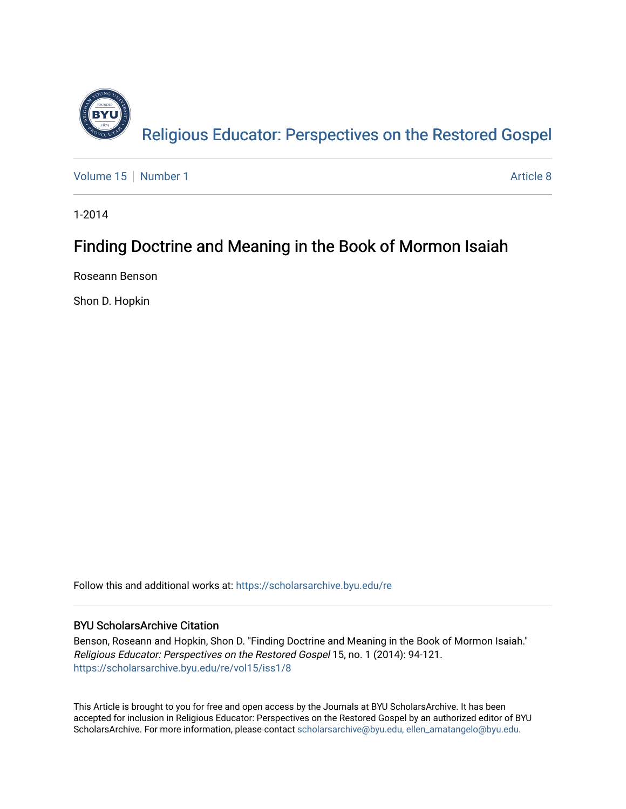

[Volume 15](https://scholarsarchive.byu.edu/re/vol15) [Number 1](https://scholarsarchive.byu.edu/re/vol15/iss1) Article 8

1-2014

# Finding Doctrine and Meaning in the Book of Mormon Isaiah

Roseann Benson

Shon D. Hopkin

Follow this and additional works at: [https://scholarsarchive.byu.edu/re](https://scholarsarchive.byu.edu/re?utm_source=scholarsarchive.byu.edu%2Fre%2Fvol15%2Fiss1%2F8&utm_medium=PDF&utm_campaign=PDFCoverPages)

# BYU ScholarsArchive Citation

Benson, Roseann and Hopkin, Shon D. "Finding Doctrine and Meaning in the Book of Mormon Isaiah." Religious Educator: Perspectives on the Restored Gospel 15, no. 1 (2014): 94-121. [https://scholarsarchive.byu.edu/re/vol15/iss1/8](https://scholarsarchive.byu.edu/re/vol15/iss1/8?utm_source=scholarsarchive.byu.edu%2Fre%2Fvol15%2Fiss1%2F8&utm_medium=PDF&utm_campaign=PDFCoverPages) 

This Article is brought to you for free and open access by the Journals at BYU ScholarsArchive. It has been accepted for inclusion in Religious Educator: Perspectives on the Restored Gospel by an authorized editor of BYU ScholarsArchive. For more information, please contact [scholarsarchive@byu.edu, ellen\\_amatangelo@byu.edu.](mailto:scholarsarchive@byu.edu,%20ellen_amatangelo@byu.edu)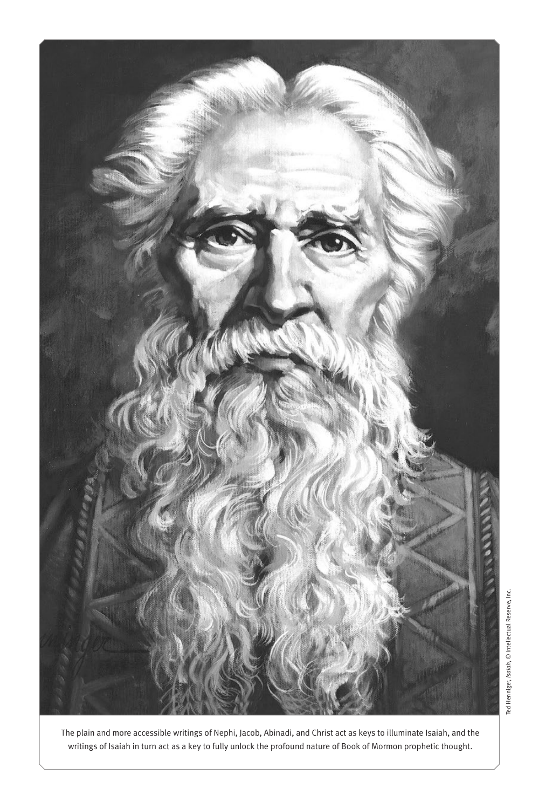

The plain and more accessible writings of Nephi, Jacob, Abinadi, and Christ act as keys to illuminate Isaiah, and the writings of Isaiah in turn act as a key to fully unlock the profound nature of Book of Mormon prophetic thought.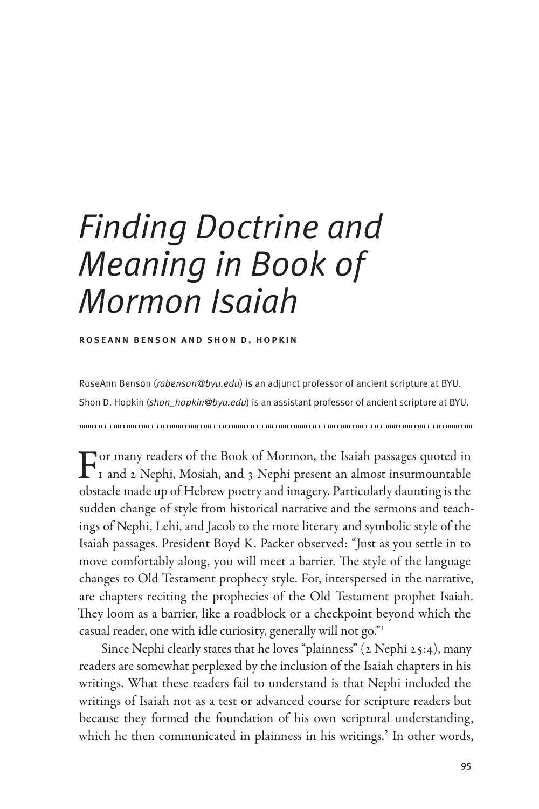# *Finding Doctrine and Meaning in Book of Mormon Isaiah*

roseann benson and shon d. hopkin

RoseAnn Benson (*rabenson@byu.edu*) is an adjunct professor of ancient scripture at BYU. Shon D. Hopkin (*shon\_hopkin@byu.edu*) is an assistant professor of ancient scripture at BYU.

For many readers of the Book of Mormon, the Isaiah passages quoted in <br>
1 and 2 Nephi, Mosiah, and 3 Nephi present an almost insurmountable obstacle made up of Hebrew poetry and imagery. Particularly daunting is the sudden change of style from historical narrative and the sermons and teachings of Nephi, Lehi, and Jacob to the more literary and symbolic style of the Isaiah passages. President Boyd K. Packer observed: "Just as you settle in to move comfortably along, you will meet a barrier. The style of the language changes to Old Testament prophecy style. For, interspersed in the narrative, are chapters reciting the prophecies of the Old Testament prophet Isaiah. They loom as a barrier, like a roadblock or a checkpoint beyond which the casual reader, one with idle curiosity, generally will not go."1

Since Nephi clearly states that he loves "plainness" (2 Nephi 25:4), many readers are somewhat perplexed by the inclusion of the Isaiah chapters in his writings. What these readers fail to understand is that Nephi included the writings of Isaiah not as a test or advanced course for scripture readers but because they formed the foundation of his own scriptural understanding, which he then communicated in plainness in his writings.<sup>2</sup> In other words,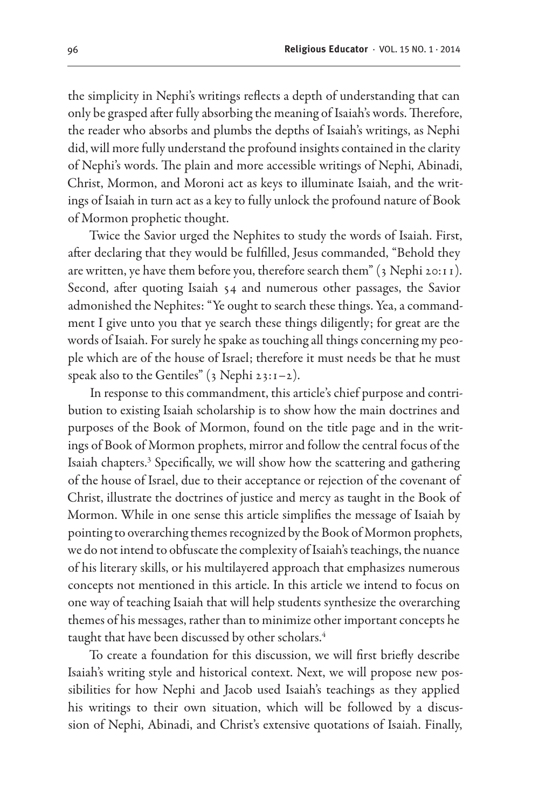the simplicity in Nephi's writings reflects a depth of understanding that can only be grasped after fully absorbing the meaning of Isaiah's words. Therefore, the reader who absorbs and plumbs the depths of Isaiah's writings, as Nephi did, will more fully understand the profound insights contained in the clarity of Nephi's words. The plain and more accessible writings of Nephi, Abinadi, Christ, Mormon, and Moroni act as keys to illuminate Isaiah, and the writings of Isaiah in turn act as a key to fully unlock the profound nature of Book of Mormon prophetic thought.

Twice the Savior urged the Nephites to study the words of Isaiah. First, after declaring that they would be fulfilled, Jesus commanded, "Behold they are written, ye have them before you, therefore search them" (3 Nephi 20:11). Second, after quoting Isaiah 54 and numerous other passages, the Savior admonished the Nephites: "Ye ought to search these things. Yea, a commandment I give unto you that ye search these things diligently; for great are the words of Isaiah. For surely he spake as touching all things concerning my people which are of the house of Israel; therefore it must needs be that he must speak also to the Gentiles"  $(3 \text{ Nephi } 23:1-2)$ .

In response to this commandment, this article's chief purpose and contribution to existing Isaiah scholarship is to show how the main doctrines and purposes of the Book of Mormon, found on the title page and in the writings of Book of Mormon prophets, mirror and follow the central focus of the Isaiah chapters.3 Specifically, we will show how the scattering and gathering of the house of Israel, due to their acceptance or rejection of the covenant of Christ, illustrate the doctrines of justice and mercy as taught in the Book of Mormon. While in one sense this article simplifies the message of Isaiah by pointing to overarching themes recognized by the Book of Mormon prophets, we do not intend to obfuscate the complexity of Isaiah's teachings, the nuance of his literary skills, or his multilayered approach that emphasizes numerous concepts not mentioned in this article. In this article we intend to focus on one way of teaching Isaiah that will help students synthesize the overarching themes of his messages, rather than to minimize other important concepts he taught that have been discussed by other scholars.<sup>4</sup>

To create a foundation for this discussion, we will first briefly describe Isaiah's writing style and historical context. Next, we will propose new possibilities for how Nephi and Jacob used Isaiah's teachings as they applied his writings to their own situation, which will be followed by a discussion of Nephi, Abinadi, and Christ's extensive quotations of Isaiah. Finally,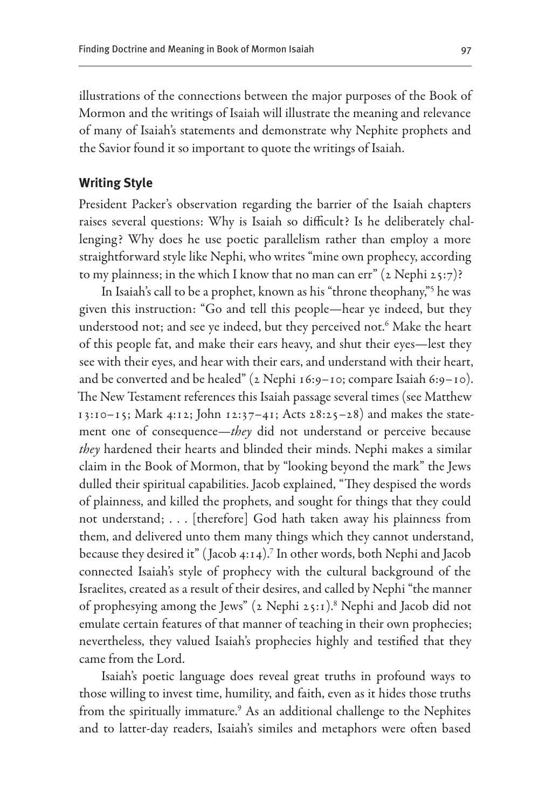illustrations of the connections between the major purposes of the Book of Mormon and the writings of Isaiah will illustrate the meaning and relevance of many of Isaiah's statements and demonstrate why Nephite prophets and the Savior found it so important to quote the writings of Isaiah.

#### **Writing Style**

President Packer's observation regarding the barrier of the Isaiah chapters raises several questions: Why is Isaiah so difficult? Is he deliberately challenging? Why does he use poetic parallelism rather than employ a more straightforward style like Nephi, who writes "mine own prophecy, according to my plainness; in the which I know that no man can err" (2 Nephi 25:7)?

In Isaiah's call to be a prophet, known as his "throne theophany,"5 he was given this instruction: "Go and tell this people—hear ye indeed, but they understood not; and see ye indeed, but they perceived not.6 Make the heart of this people fat, and make their ears heavy, and shut their eyes—lest they see with their eyes, and hear with their ears, and understand with their heart, and be converted and be healed" (2 Nephi 16:9–10; compare Isaiah 6:9–10). The New Testament references this Isaiah passage several times (see Matthew 13:10–15; Mark 4:12; John 12:37–41; Acts 28:25–28) and makes the statement one of consequence—*they* did not understand or perceive because *they* hardened their hearts and blinded their minds. Nephi makes a similar claim in the Book of Mormon, that by "looking beyond the mark" the Jews dulled their spiritual capabilities. Jacob explained, "They despised the words of plainness, and killed the prophets, and sought for things that they could not understand; . . . [therefore] God hath taken away his plainness from them, and delivered unto them many things which they cannot understand, because they desired it" ( Jacob 4:14).7 In other words, both Nephi and Jacob connected Isaiah's style of prophecy with the cultural background of the Israelites, created as a result of their desires, and called by Nephi "the manner of prophesying among the Jews" (2 Nephi 25:1).8 Nephi and Jacob did not emulate certain features of that manner of teaching in their own prophecies; nevertheless, they valued Isaiah's prophecies highly and testified that they came from the Lord.

Isaiah's poetic language does reveal great truths in profound ways to those willing to invest time, humility, and faith, even as it hides those truths from the spiritually immature.<sup>9</sup> As an additional challenge to the Nephites and to latter-day readers, Isaiah's similes and metaphors were often based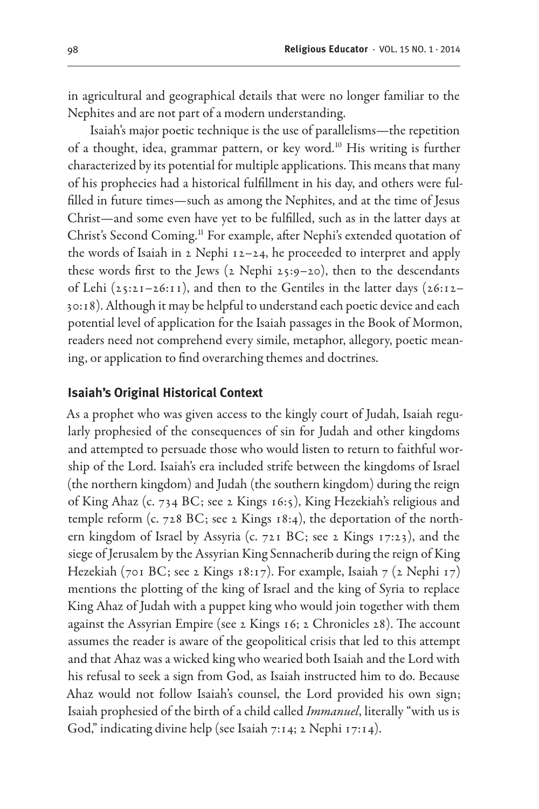in agricultural and geographical details that were no longer familiar to the Nephites and are not part of a modern understanding.

Isaiah's major poetic technique is the use of parallelisms—the repetition of a thought, idea, grammar pattern, or key word.<sup>10</sup> His writing is further characterized by its potential for multiple applications. This means that many of his prophecies had a historical fulfillment in his day, and others were fulfilled in future times—such as among the Nephites, and at the time of Jesus Christ—and some even have yet to be fulfilled, such as in the latter days at Christ's Second Coming.11 For example, after Nephi's extended quotation of the words of Isaiah in 2 Nephi 12–24, he proceeded to interpret and apply these words first to the Jews (2 Nephi 25:9–20), then to the descendants of Lehi (25:21–26:11), and then to the Gentiles in the latter days (26:12– 30:18). Although it may be helpful to understand each poetic device and each potential level of application for the Isaiah passages in the Book of Mormon, readers need not comprehend every simile, metaphor, allegory, poetic meaning, or application to find overarching themes and doctrines.

#### **Isaiah's Original Historical Context**

As a prophet who was given access to the kingly court of Judah, Isaiah regularly prophesied of the consequences of sin for Judah and other kingdoms and attempted to persuade those who would listen to return to faithful worship of the Lord. Isaiah's era included strife between the kingdoms of Israel (the northern kingdom) and Judah (the southern kingdom) during the reign of King Ahaz (c. 734 BC; see 2 Kings 16:5), King Hezekiah's religious and temple reform (c. 728 BC; see 2 Kings 18:4), the deportation of the northern kingdom of Israel by Assyria (c. 721 BC; see 2 Kings 17:23), and the siege of Jerusalem by the Assyrian King Sennacherib during the reign of King Hezekiah (701 BC; see 2 Kings 18:17). For example, Isaiah 7 (2 Nephi 17) mentions the plotting of the king of Israel and the king of Syria to replace King Ahaz of Judah with a puppet king who would join together with them against the Assyrian Empire (see 2 Kings 16; 2 Chronicles 28). The account assumes the reader is aware of the geopolitical crisis that led to this attempt and that Ahaz was a wicked king who wearied both Isaiah and the Lord with his refusal to seek a sign from God, as Isaiah instructed him to do. Because Ahaz would not follow Isaiah's counsel, the Lord provided his own sign; Isaiah prophesied of the birth of a child called *Immanuel*, literally "with us is God," indicating divine help (see Isaiah 7:14; 2 Nephi 17:14).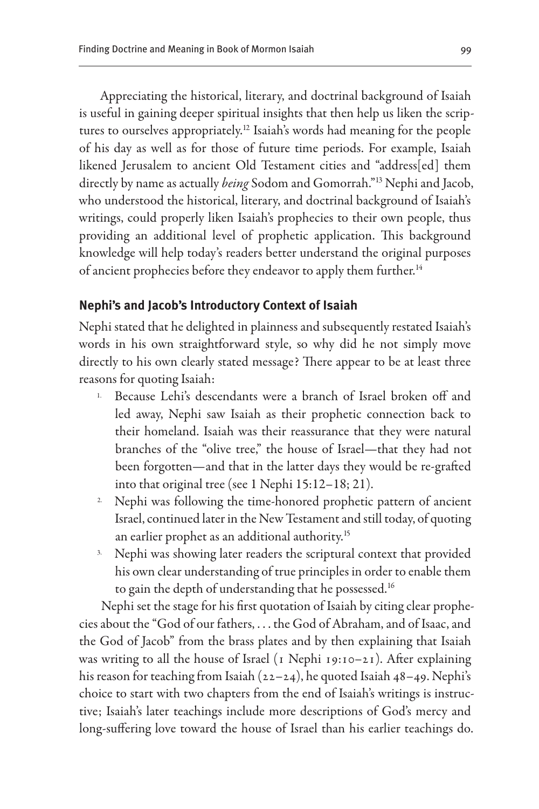Appreciating the historical, literary, and doctrinal background of Isaiah is useful in gaining deeper spiritual insights that then help us liken the scriptures to ourselves appropriately.12 Isaiah's words had meaning for the people of his day as well as for those of future time periods. For example, Isaiah likened Jerusalem to ancient Old Testament cities and "address[ed] them directly by name as actually *being* Sodom and Gomorrah."13 Nephi and Jacob, who understood the historical, literary, and doctrinal background of Isaiah's writings, could properly liken Isaiah's prophecies to their own people, thus providing an additional level of prophetic application. This background knowledge will help today's readers better understand the original purposes of ancient prophecies before they endeavor to apply them further.<sup>14</sup>

#### **Nephi's and Jacob's Introductory Context of Isaiah**

Nephi stated that he delighted in plainness and subsequently restated Isaiah's words in his own straightforward style, so why did he not simply move directly to his own clearly stated message? There appear to be at least three reasons for quoting Isaiah:

- 1. Because Lehi's descendants were a branch of Israel broken off and led away, Nephi saw Isaiah as their prophetic connection back to their homeland. Isaiah was their reassurance that they were natural branches of the "olive tree," the house of Israel—that they had not been forgotten—and that in the latter days they would be re-grafted into that original tree (see 1 Nephi 15:12–18; 21).
- <sup>2</sup> Nephi was following the time-honored prophetic pattern of ancient Israel, continued later in the New Testament and still today, of quoting an earlier prophet as an additional authority.15
- <sup>3.</sup> Nephi was showing later readers the scriptural context that provided his own clear understanding of true principles in order to enable them to gain the depth of understanding that he possessed.<sup>16</sup>

Nephi set the stage for his first quotation of Isaiah by citing clear prophecies about the "God of our fathers, . . . the God of Abraham, and of Isaac, and the God of Jacob" from the brass plates and by then explaining that Isaiah was writing to all the house of Israel ( $\iota$  Nephi 19:10–21). After explaining his reason for teaching from Isaiah (22–24), he quoted Isaiah 48–49. Nephi's choice to start with two chapters from the end of Isaiah's writings is instructive; Isaiah's later teachings include more descriptions of God's mercy and long-suffering love toward the house of Israel than his earlier teachings do.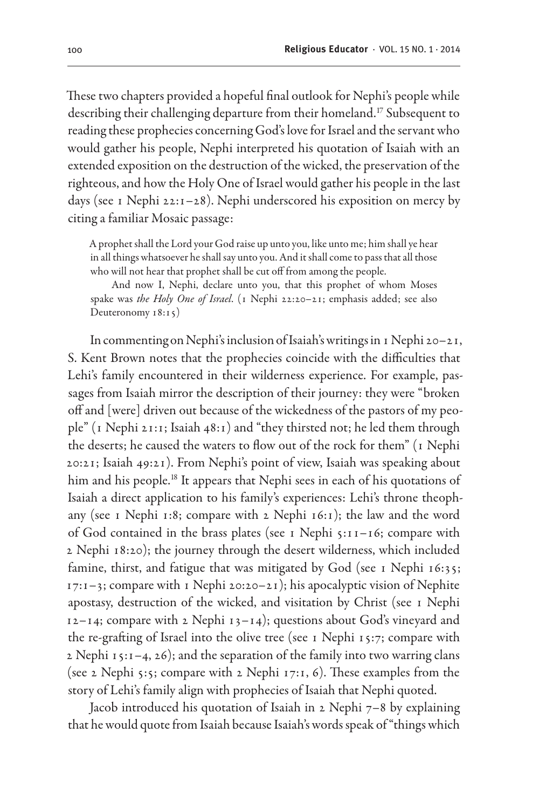These two chapters provided a hopeful final outlook for Nephi's people while describing their challenging departure from their homeland.<sup>17</sup> Subsequent to reading these prophecies concerning God's love for Israel and the servant who would gather his people, Nephi interpreted his quotation of Isaiah with an extended exposition on the destruction of the wicked, the preservation of the righteous, and how the Holy One of Israel would gather his people in the last days (see 1 Nephi 22:1–28). Nephi underscored his exposition on mercy by citing a familiar Mosaic passage:

A prophet shall the Lord your God raise up unto you, like unto me; him shall ye hear in all things whatsoever he shall say unto you. And it shall come to pass that all those who will not hear that prophet shall be cut off from among the people.

And now I, Nephi, declare unto you, that this prophet of whom Moses spake was *the Holy One of Israel*. (1 Nephi 22:20–21; emphasis added; see also Deuteronomy 18:15)

In commenting on Nephi's inclusion of Isaiah's writings in 1 Nephi 20–21, S. Kent Brown notes that the prophecies coincide with the difficulties that Lehi's family encountered in their wilderness experience. For example, passages from Isaiah mirror the description of their journey: they were "broken off and [were] driven out because of the wickedness of the pastors of my people" (1 Nephi 21:1; Isaiah 48:1) and "they thirsted not; he led them through the deserts; he caused the waters to flow out of the rock for them" (1 Nephi 20:21; Isaiah 49:21). From Nephi's point of view, Isaiah was speaking about him and his people.<sup>18</sup> It appears that Nephi sees in each of his quotations of Isaiah a direct application to his family's experiences: Lehi's throne theophany (see 1 Nephi 1:8; compare with 2 Nephi 16:1); the law and the word of God contained in the brass plates (see 1 Nephi 5:11–16; compare with 2 Nephi 18:20); the journey through the desert wilderness, which included famine, thirst, and fatigue that was mitigated by God (see 1 Nephi 16:35; 17:1–3; compare with 1 Nephi 20:20–21); his apocalyptic vision of Nephite apostasy, destruction of the wicked, and visitation by Christ (see 1 Nephi  $12-14$ ; compare with 2 Nephi  $13-14$ ); questions about God's vineyard and the re-grafting of Israel into the olive tree (see 1 Nephi 15:7; compare with  $2$  Nephi 15:1-4, 26); and the separation of the family into two warring clans (see 2 Nephi 5:5; compare with 2 Nephi 17:1, 6). These examples from the story of Lehi's family align with prophecies of Isaiah that Nephi quoted.

Jacob introduced his quotation of Isaiah in 2 Nephi 7–8 by explaining that he would quote from Isaiah because Isaiah's words speak of "things which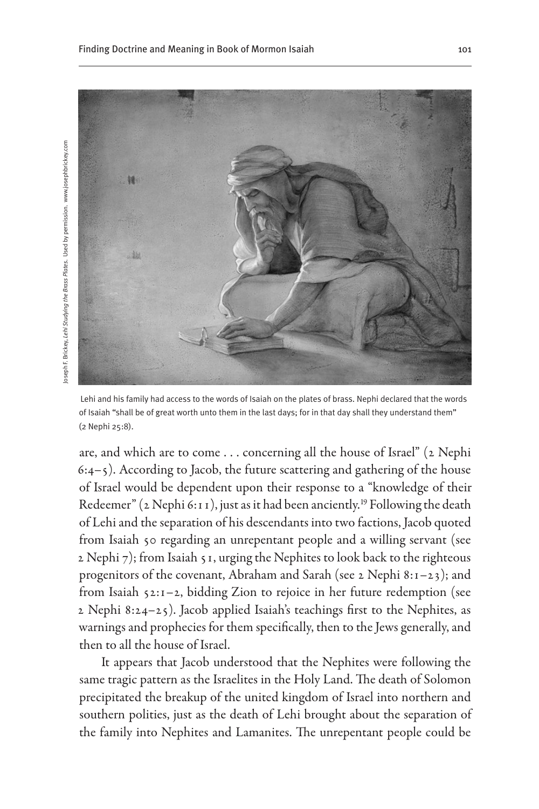

 Lehi and his family had access to the words of Isaiah on the plates of brass. Nephi declared that the words of Isaiah "shall be of great worth unto them in the last days; for in that day shall they understand them" (2 Nephi 25:8).

are, and which are to come . . . concerning all the house of Israel" (2 Nephi 6:4–5). According to Jacob, the future scattering and gathering of the house of Israel would be dependent upon their response to a "knowledge of their Redeemer" (2 Nephi 6:11), just as it had been anciently.<sup>19</sup> Following the death of Lehi and the separation of his descendants into two factions, Jacob quoted from Isaiah 50 regarding an unrepentant people and a willing servant (see 2 Nephi 7); from Isaiah 51, urging the Nephites to look back to the righteous progenitors of the covenant, Abraham and Sarah (see 2 Nephi 8:1–23); and from Isaiah 52:1–2, bidding Zion to rejoice in her future redemption (see 2 Nephi 8:24–25). Jacob applied Isaiah's teachings first to the Nephites, as warnings and prophecies for them specifically, then to the Jews generally, and then to all the house of Israel.

It appears that Jacob understood that the Nephites were following the same tragic pattern as the Israelites in the Holy Land. The death of Solomon precipitated the breakup of the united kingdom of Israel into northern and southern polities, just as the death of Lehi brought about the separation of the family into Nephites and Lamanites. The unrepentant people could be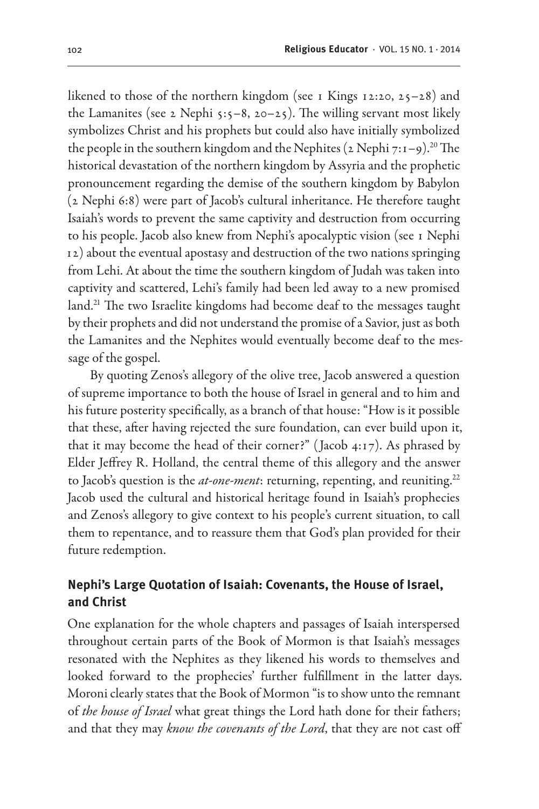likened to those of the northern kingdom (see 1 Kings 12:20, 25–28) and the Lamanites (see 2 Nephi 5:5–8, 20–25). The willing servant most likely symbolizes Christ and his prophets but could also have initially symbolized the people in the southern kingdom and the Nephites ( $2$  Nephi  $7:1-9$ ).<sup>20</sup> The historical devastation of the northern kingdom by Assyria and the prophetic pronouncement regarding the demise of the southern kingdom by Babylon (2 Nephi 6:8) were part of Jacob's cultural inheritance. He therefore taught Isaiah's words to prevent the same captivity and destruction from occurring to his people. Jacob also knew from Nephi's apocalyptic vision (see 1 Nephi 12) about the eventual apostasy and destruction of the two nations springing from Lehi. At about the time the southern kingdom of Judah was taken into captivity and scattered, Lehi's family had been led away to a new promised land.<sup>21</sup> The two Israelite kingdoms had become deaf to the messages taught by their prophets and did not understand the promise of a Savior, just as both the Lamanites and the Nephites would eventually become deaf to the message of the gospel.

By quoting Zenos's allegory of the olive tree, Jacob answered a question of supreme importance to both the house of Israel in general and to him and his future posterity specifically, as a branch of that house: "How is it possible that these, after having rejected the sure foundation, can ever build upon it, that it may become the head of their corner?" (Jacob 4:17). As phrased by Elder Jeffrey R. Holland, the central theme of this allegory and the answer to Jacob's question is the *at-one-ment*: returning, repenting, and reuniting.<sup>22</sup> Jacob used the cultural and historical heritage found in Isaiah's prophecies and Zenos's allegory to give context to his people's current situation, to call them to repentance, and to reassure them that God's plan provided for their future redemption.

# **Nephi's Large Quotation of Isaiah: Covenants, the House of Israel, and Christ**

One explanation for the whole chapters and passages of Isaiah interspersed throughout certain parts of the Book of Mormon is that Isaiah's messages resonated with the Nephites as they likened his words to themselves and looked forward to the prophecies' further fulfillment in the latter days. Moroni clearly states that the Book of Mormon "is to show unto the remnant of *the house of Israel* what great things the Lord hath done for their fathers; and that they may *know the covenants of the Lord*, that they are not cast off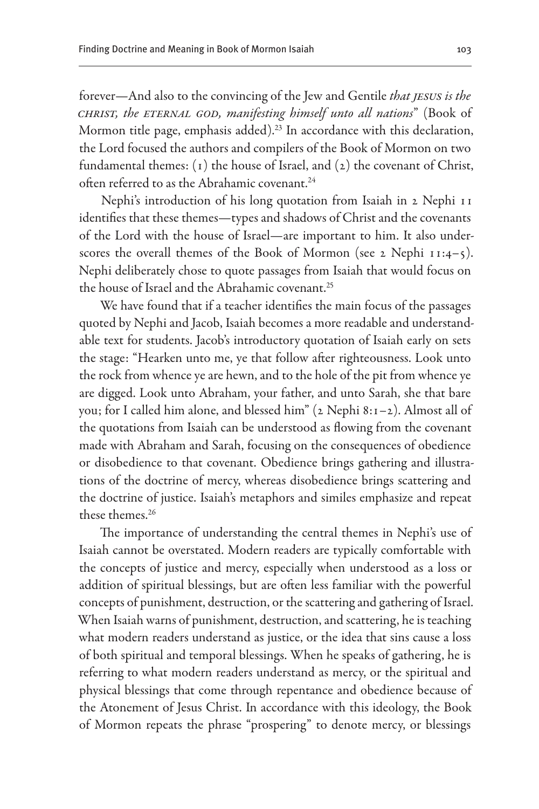forever—And also to the convincing of the Jew and Gentile *that jesus is the christ, the eternal god, manifesting himself unto all nations*" (Book of Mormon title page, emphasis added).<sup>23</sup> In accordance with this declaration, the Lord focused the authors and compilers of the Book of Mormon on two fundamental themes:  $(i)$  the house of Israel, and  $(i)$  the covenant of Christ, often referred to as the Abrahamic covenant.<sup>24</sup>

Nephi's introduction of his long quotation from Isaiah in 2 Nephi 11 identifies that these themes—types and shadows of Christ and the covenants of the Lord with the house of Israel—are important to him. It also underscores the overall themes of the Book of Mormon (see 2 Nephi 11:4-5). Nephi deliberately chose to quote passages from Isaiah that would focus on the house of Israel and the Abrahamic covenant.<sup>25</sup>

We have found that if a teacher identifies the main focus of the passages quoted by Nephi and Jacob, Isaiah becomes a more readable and understandable text for students. Jacob's introductory quotation of Isaiah early on sets the stage: "Hearken unto me, ye that follow after righteousness. Look unto the rock from whence ye are hewn, and to the hole of the pit from whence ye are digged. Look unto Abraham, your father, and unto Sarah, she that bare you; for I called him alone, and blessed him" (2 Nephi 8:1–2). Almost all of the quotations from Isaiah can be understood as flowing from the covenant made with Abraham and Sarah, focusing on the consequences of obedience or disobedience to that covenant. Obedience brings gathering and illustrations of the doctrine of mercy, whereas disobedience brings scattering and the doctrine of justice. Isaiah's metaphors and similes emphasize and repeat these themes.<sup>26</sup>

The importance of understanding the central themes in Nephi's use of Isaiah cannot be overstated. Modern readers are typically comfortable with the concepts of justice and mercy, especially when understood as a loss or addition of spiritual blessings, but are often less familiar with the powerful concepts of punishment, destruction, or the scattering and gathering of Israel. When Isaiah warns of punishment, destruction, and scattering, he is teaching what modern readers understand as justice, or the idea that sins cause a loss of both spiritual and temporal blessings. When he speaks of gathering, he is referring to what modern readers understand as mercy, or the spiritual and physical blessings that come through repentance and obedience because of the Atonement of Jesus Christ. In accordance with this ideology, the Book of Mormon repeats the phrase "prospering" to denote mercy, or blessings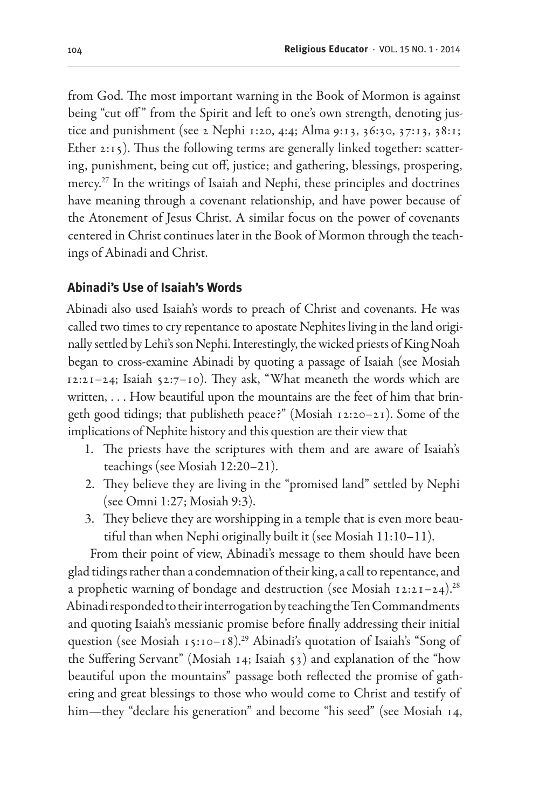from God. The most important warning in the Book of Mormon is against being "cut off" from the Spirit and left to one's own strength, denoting justice and punishment (see 2 Nephi 1:20, 4:4; Alma 9:13, 36:30, 37:13, 38:1; Ether 2:15). Thus the following terms are generally linked together: scattering, punishment, being cut off, justice; and gathering, blessings, prospering, mercy.27 In the writings of Isaiah and Nephi, these principles and doctrines have meaning through a covenant relationship, and have power because of the Atonement of Jesus Christ. A similar focus on the power of covenants centered in Christ continues later in the Book of Mormon through the teachings of Abinadi and Christ.

## **Abinadi's Use of Isaiah's Words**

Abinadi also used Isaiah's words to preach of Christ and covenants. He was called two times to cry repentance to apostate Nephites living in the land originally settled by Lehi's son Nephi. Interestingly, the wicked priests of King Noah began to cross-examine Abinadi by quoting a passage of Isaiah (see Mosiah 12:21–24; Isaiah 52:7–10). They ask, "What meaneth the words which are written, . . . How beautiful upon the mountains are the feet of him that bringeth good tidings; that publisheth peace?" (Mosiah 12:20–21). Some of the implications of Nephite history and this question are their view that

- 1. The priests have the scriptures with them and are aware of Isaiah's teachings (see Mosiah 12:20–21).
- 2. They believe they are living in the "promised land" settled by Nephi (see Omni 1:27; Mosiah 9:3).
- 3. They believe they are worshipping in a temple that is even more beautiful than when Nephi originally built it (see Mosiah 11:10–11).

From their point of view, Abinadi's message to them should have been glad tidings rather than a condemnation of their king, a call to repentance, and a prophetic warning of bondage and destruction (see Mosiah  $12:21-24$ ).<sup>28</sup> Abinadi responded to their interrogation by teaching the Ten Commandments and quoting Isaiah's messianic promise before finally addressing their initial question (see Mosiah 15:10–18).<sup>29</sup> Abinadi's quotation of Isaiah's "Song of the Suffering Servant" (Mosiah 14; Isaiah 53) and explanation of the "how beautiful upon the mountains" passage both reflected the promise of gathering and great blessings to those who would come to Christ and testify of him—they "declare his generation" and become "his seed" (see Mosiah 14,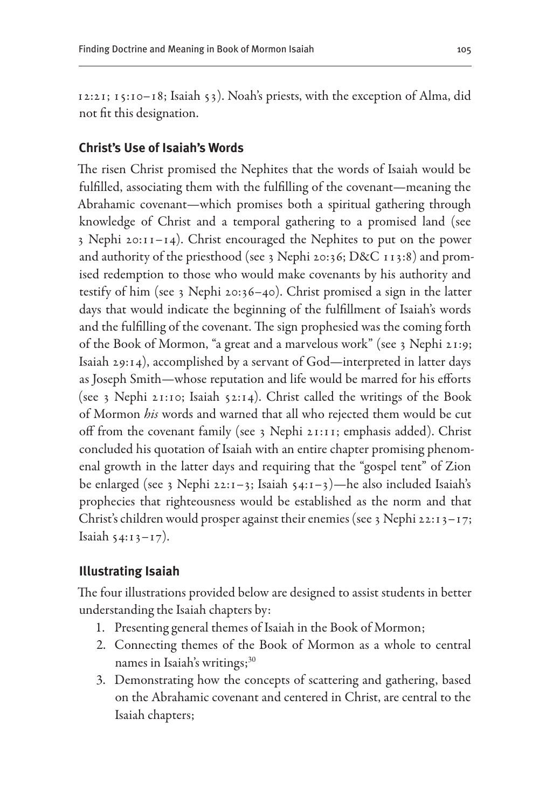12:21; 15:10–18; Isaiah 53). Noah's priests, with the exception of Alma, did not fit this designation.

# **Christ's Use of Isaiah's Words**

The risen Christ promised the Nephites that the words of Isaiah would be fulfilled, associating them with the fulfilling of the covenant—meaning the Abrahamic covenant—which promises both a spiritual gathering through knowledge of Christ and a temporal gathering to a promised land (see 3 Nephi 20:11–14). Christ encouraged the Nephites to put on the power and authority of the priesthood (see 3 Nephi 20:36; D&C 113:8) and promised redemption to those who would make covenants by his authority and testify of him (see 3 Nephi 20:36–40). Christ promised a sign in the latter days that would indicate the beginning of the fulfillment of Isaiah's words and the fulfilling of the covenant. The sign prophesied was the coming forth of the Book of Mormon, "a great and a marvelous work" (see 3 Nephi 21:9; Isaiah 29:14), accomplished by a servant of God—interpreted in latter days as Joseph Smith—whose reputation and life would be marred for his efforts (see 3 Nephi 21:10; Isaiah 52:14). Christ called the writings of the Book of Mormon *his* words and warned that all who rejected them would be cut off from the covenant family (see 3 Nephi 21:11; emphasis added). Christ concluded his quotation of Isaiah with an entire chapter promising phenomenal growth in the latter days and requiring that the "gospel tent" of Zion be enlarged (see 3 Nephi 22:1-3; Isaiah 54:1-3)—he also included Isaiah's prophecies that righteousness would be established as the norm and that Christ's children would prosper against their enemies (see 3 Nephi 22:13–17; Isaiah 54:13–17).

# **Illustrating Isaiah**

The four illustrations provided below are designed to assist students in better understanding the Isaiah chapters by:

- 1. Presenting general themes of Isaiah in the Book of Mormon;
- 2. Connecting themes of the Book of Mormon as a whole to central names in Isaiah's writings;<sup>30</sup>
- 3. Demonstrating how the concepts of scattering and gathering, based on the Abrahamic covenant and centered in Christ, are central to the Isaiah chapters;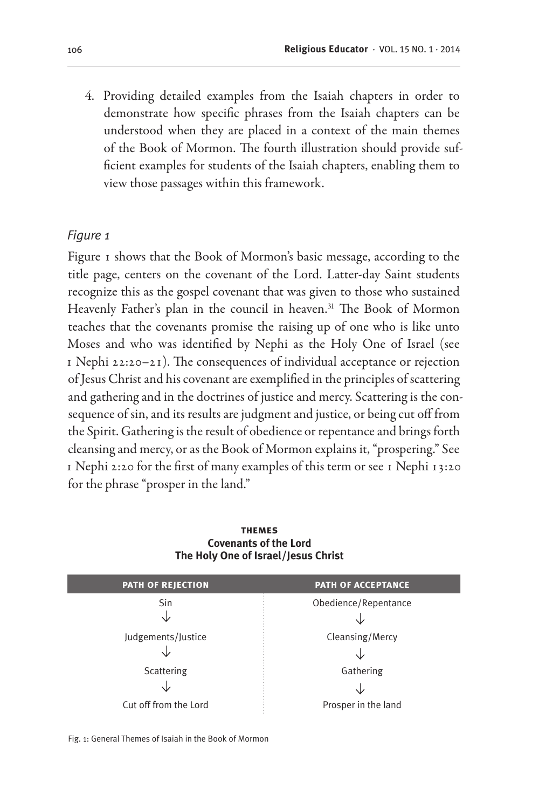4. Providing detailed examples from the Isaiah chapters in order to demonstrate how specific phrases from the Isaiah chapters can be understood when they are placed in a context of the main themes of the Book of Mormon. The fourth illustration should provide sufficient examples for students of the Isaiah chapters, enabling them to view those passages within this framework.

#### *Figure 1*

Figure 1 shows that the Book of Mormon's basic message, according to the title page, centers on the covenant of the Lord. Latter-day Saint students recognize this as the gospel covenant that was given to those who sustained Heavenly Father's plan in the council in heaven.<sup>31</sup> The Book of Mormon teaches that the covenants promise the raising up of one who is like unto Moses and who was identified by Nephi as the Holy One of Israel (see 1 Nephi 22:20–21). The consequences of individual acceptance or rejection of Jesus Christ and his covenant are exemplified in the principles of scattering and gathering and in the doctrines of justice and mercy. Scattering is the consequence of sin, and its results are judgment and justice, or being cut off from the Spirit. Gathering is the result of obedience or repentance and brings forth cleansing and mercy, or as the Book of Mormon explains it, "prospering." See 1 Nephi 2:20 for the first of many examples of this term or see 1 Nephi 13:20 for the phrase "prosper in the land."

| <b>PATH OF REJECTION</b> | <b>PATH OF ACCEPTANCE</b> |
|--------------------------|---------------------------|
| Sin                      | Obedience/Repentance      |
| Judgements/Justice       | Cleansing/Mercy           |
| <b>Scattering</b>        | Gathering                 |
| Cut off from the Lord    | Prosper in the land       |

#### **themes Covenants of the Lord The Holy One of Israel/Jesus Christ**

Fig. 1: General Themes of Isaiah in the Book of Mormon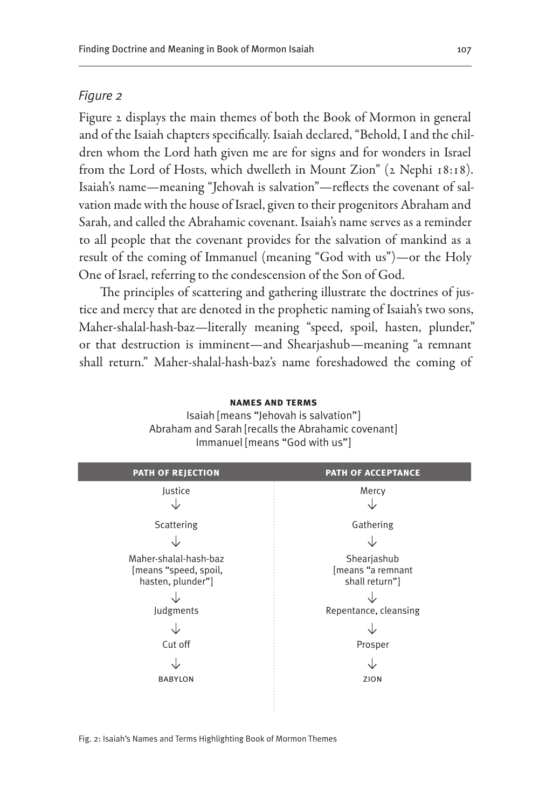## *Figure 2*

Figure 2 displays the main themes of both the Book of Mormon in general and of the Isaiah chapters specifically. Isaiah declared, "Behold, I and the children whom the Lord hath given me are for signs and for wonders in Israel from the Lord of Hosts, which dwelleth in Mount Zion" (2 Nephi 18:18). Isaiah's name—meaning "Jehovah is salvation"—reflects the covenant of salvation made with the house of Israel, given to their progenitors Abraham and Sarah, and called the Abrahamic covenant. Isaiah's name serves as a reminder to all people that the covenant provides for the salvation of mankind as a result of the coming of Immanuel (meaning "God with us")—or the Holy One of Israel, referring to the condescension of the Son of God.

The principles of scattering and gathering illustrate the doctrines of justice and mercy that are denoted in the prophetic naming of Isaiah's two sons, Maher-shalal-hash-baz—literally meaning "speed, spoil, hasten, plunder," or that destruction is imminent—and Shearjashub—meaning "a remnant shall return." Maher-shalal-hash-baz's name foreshadowed the coming of

| <b>PATH OF REJECTION</b>                                            | <b>PATH OF ACCEPTANCE</b>                          |
|---------------------------------------------------------------------|----------------------------------------------------|
| Justice                                                             | Mercy                                              |
|                                                                     |                                                    |
| Scattering                                                          | Gathering                                          |
|                                                                     |                                                    |
| Maher-shalal-hash-baz<br>[means "speed, spoil,<br>hasten, plunder"] | Shearjashub<br>[means "a remnant<br>shall return"] |
| Judgments                                                           | Repentance, cleansing                              |
|                                                                     |                                                    |
| Cut off                                                             | Prosper                                            |
|                                                                     |                                                    |
| <b>BABYLON</b>                                                      | ZION                                               |
|                                                                     |                                                    |

**names and terms** Isaiah [means "Jehovah is salvation"] Abraham and Sarah [recalls the Abrahamic covenant] Immanuel [means "God with us"]

Fig. 2: Isaiah's Names and Terms Highlighting Book of Mormon Themes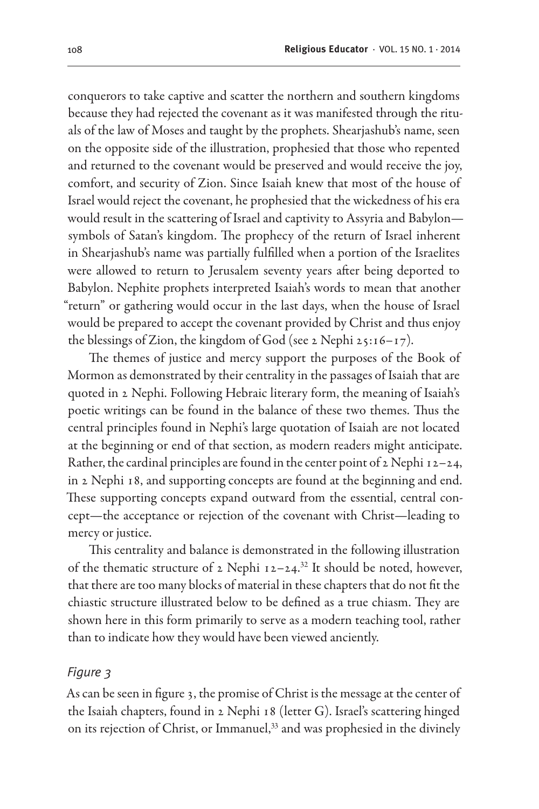conquerors to take captive and scatter the northern and southern kingdoms because they had rejected the covenant as it was manifested through the rituals of the law of Moses and taught by the prophets. Shearjashub's name, seen on the opposite side of the illustration, prophesied that those who repented and returned to the covenant would be preserved and would receive the joy, comfort, and security of Zion. Since Isaiah knew that most of the house of Israel would reject the covenant, he prophesied that the wickedness of his era would result in the scattering of Israel and captivity to Assyria and Babylon symbols of Satan's kingdom. The prophecy of the return of Israel inherent in Shearjashub's name was partially fulfilled when a portion of the Israelites were allowed to return to Jerusalem seventy years after being deported to Babylon. Nephite prophets interpreted Isaiah's words to mean that another "return" or gathering would occur in the last days, when the house of Israel would be prepared to accept the covenant provided by Christ and thus enjoy the blessings of Zion, the kingdom of God (see 2 Nephi 25:16–17).

The themes of justice and mercy support the purposes of the Book of Mormon as demonstrated by their centrality in the passages of Isaiah that are quoted in 2 Nephi. Following Hebraic literary form, the meaning of Isaiah's poetic writings can be found in the balance of these two themes. Thus the central principles found in Nephi's large quotation of Isaiah are not located at the beginning or end of that section, as modern readers might anticipate. Rather, the cardinal principles are found in the center point of 2 Nephi 12–24, in 2 Nephi 18, and supporting concepts are found at the beginning and end. These supporting concepts expand outward from the essential, central concept—the acceptance or rejection of the covenant with Christ—leading to mercy or justice.

This centrality and balance is demonstrated in the following illustration of the thematic structure of 2 Nephi  $12-24$ .<sup>32</sup> It should be noted, however, that there are too many blocks of material in these chapters that do not fit the chiastic structure illustrated below to be defined as a true chiasm. They are shown here in this form primarily to serve as a modern teaching tool, rather than to indicate how they would have been viewed anciently.

#### *Figure 3*

As can be seen in figure 3, the promise of Christ is the message at the center of the Isaiah chapters, found in 2 Nephi 18 (letter G). Israel's scattering hinged on its rejection of Christ, or Immanuel,<sup>33</sup> and was prophesied in the divinely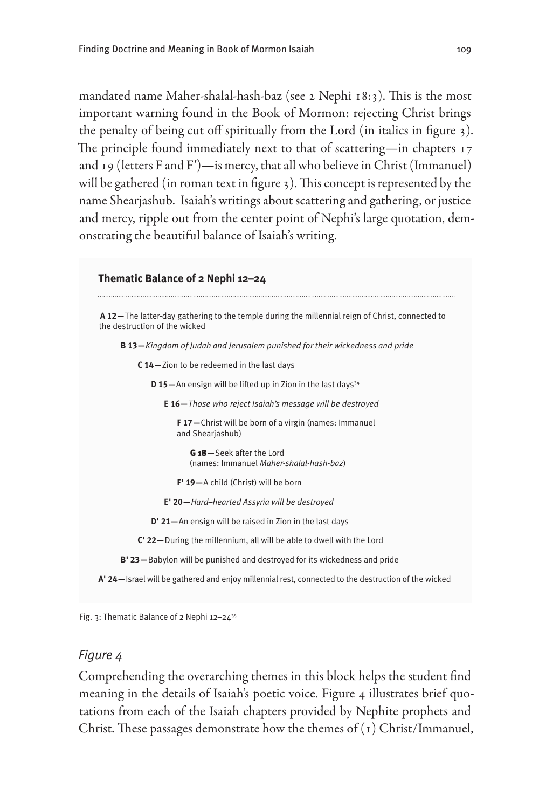mandated name Maher-shalal-hash-baz (see 2 Nephi 18:3). This is the most important warning found in the Book of Mormon: rejecting Christ brings the penalty of being cut off spiritually from the Lord (in italics in figure 3). The principle found immediately next to that of scattering—in chapters 17 and 19 (letters F and F′)—is mercy, that all who believe in Christ (Immanuel) will be gathered (in roman text in figure 3). This concept is represented by the name Shearjashub. Isaiah's writings about scattering and gathering, or justice and mercy, ripple out from the center point of Nephi's large quotation, demonstrating the beautiful balance of Isaiah's writing.

#### **Thematic Balance of 2 Nephi 12–24**

 **A 12—**The latter-day gathering to the temple during the millennial reign of Christ, connected to the destruction of the wicked

**B 13—***Kingdom of Judah and Jerusalem punished for their wickedness and pride*

**C 14—**Zion to be redeemed in the last days

**D 15-An ensign will be lifted up in Zion in the last days<sup>34</sup>** 

**E 16—***Those who reject Isaiah's message will be destroyed*

**F 17—**Christ will be born of a virgin (names: Immanuel and Shearjashub)

G 18—Seek after the Lord (names: Immanuel *Maher-shalal-hash-baz*)

**F' 19—**A child (Christ) will be born

**E' 20—***Hard–hearted Assyria will be destroyed*

**D' 21—**An ensign will be raised in Zion in the last days

**C' 22—**During the millennium, all will be able to dwell with the Lord

**B' 23—**Babylon will be punished and destroyed for its wickedness and pride

**A' 24—**Israel will be gathered and enjoy millennial rest, connected to the destruction of the wicked

Fig. 3: Thematic Balance of 2 Nephi 12–2435

#### *Figure 4*

Comprehending the overarching themes in this block helps the student find meaning in the details of Isaiah's poetic voice. Figure 4 illustrates brief quotations from each of the Isaiah chapters provided by Nephite prophets and Christ. These passages demonstrate how the themes of (1) Christ/Immanuel,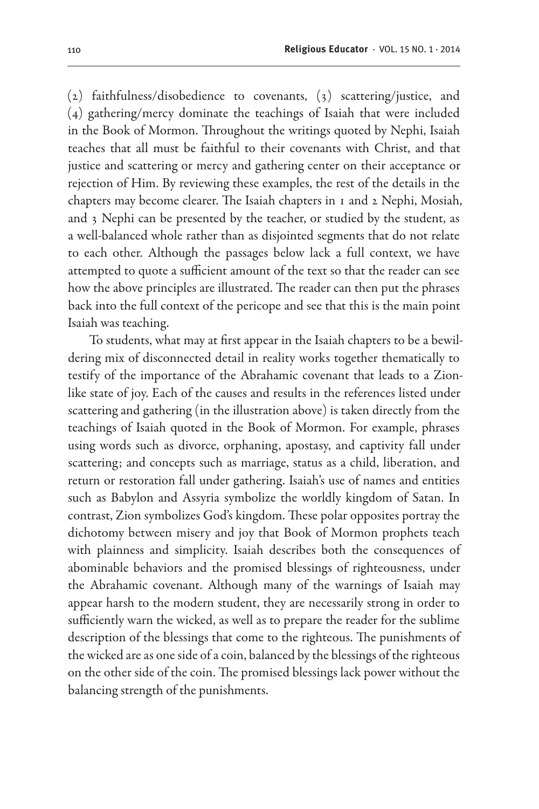(2) faithfulness/disobedience to covenants, (3) scattering/justice, and (4) gathering/mercy dominate the teachings of Isaiah that were included in the Book of Mormon. Throughout the writings quoted by Nephi, Isaiah teaches that all must be faithful to their covenants with Christ, and that justice and scattering or mercy and gathering center on their acceptance or rejection of Him. By reviewing these examples, the rest of the details in the chapters may become clearer. The Isaiah chapters in 1 and 2 Nephi, Mosiah, and 3 Nephi can be presented by the teacher, or studied by the student, as a well-balanced whole rather than as disjointed segments that do not relate to each other. Although the passages below lack a full context, we have attempted to quote a sufficient amount of the text so that the reader can see how the above principles are illustrated. The reader can then put the phrases back into the full context of the pericope and see that this is the main point Isaiah was teaching.

To students, what may at first appear in the Isaiah chapters to be a bewildering mix of disconnected detail in reality works together thematically to testify of the importance of the Abrahamic covenant that leads to a Zionlike state of joy. Each of the causes and results in the references listed under scattering and gathering (in the illustration above) is taken directly from the teachings of Isaiah quoted in the Book of Mormon. For example, phrases using words such as divorce, orphaning, apostasy, and captivity fall under scattering; and concepts such as marriage, status as a child, liberation, and return or restoration fall under gathering. Isaiah's use of names and entities such as Babylon and Assyria symbolize the worldly kingdom of Satan. In contrast, Zion symbolizes God's kingdom. These polar opposites portray the dichotomy between misery and joy that Book of Mormon prophets teach with plainness and simplicity. Isaiah describes both the consequences of abominable behaviors and the promised blessings of righteousness, under the Abrahamic covenant. Although many of the warnings of Isaiah may appear harsh to the modern student, they are necessarily strong in order to sufficiently warn the wicked, as well as to prepare the reader for the sublime description of the blessings that come to the righteous. The punishments of the wicked are as one side of a coin, balanced by the blessings of the righteous on the other side of the coin. The promised blessings lack power without the balancing strength of the punishments.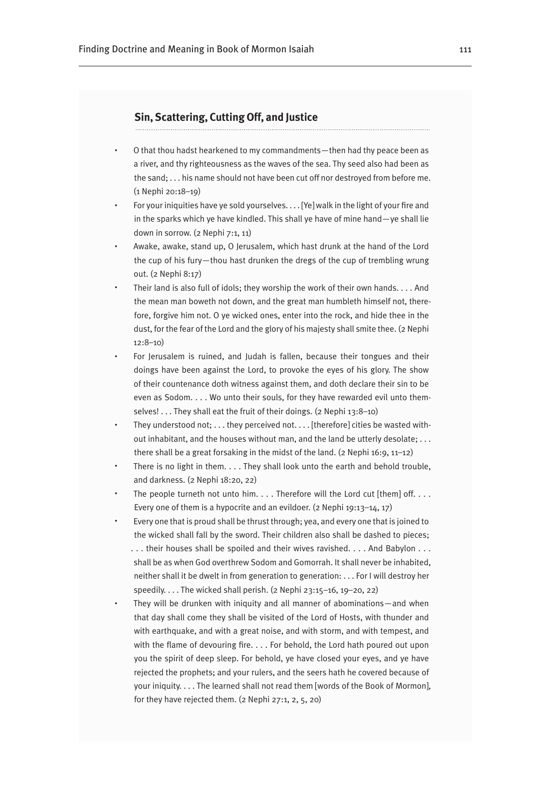#### **Sin, Scattering, Cutting Off, and Justice**

- O that thou hadst hearkened to my commandments—then had thy peace been as a river, and thy righteousness as the waves of the sea. Thy seed also had been as the sand; . . . his name should not have been cut off nor destroyed from before me. (1 Nephi 20:18–19)
- For your iniquities have ye sold yourselves. . . . [Ye] walk in the light of your fire and in the sparks which ye have kindled. This shall ye have of mine hand—ye shall lie down in sorrow. (2 Nephi 7:1, 11)
- Awake, awake, stand up, O Jerusalem, which hast drunk at the hand of the Lord the cup of his fury—thou hast drunken the dregs of the cup of trembling wrung out. (2 Nephi 8:17)
- Their land is also full of idols; they worship the work of their own hands. . . . And the mean man boweth not down, and the great man humbleth himself not, therefore, forgive him not. O ye wicked ones, enter into the rock, and hide thee in the dust, for the fear of the Lord and the glory of his majesty shall smite thee. (2 Nephi  $12:8-10$
- For Jerusalem is ruined, and Judah is fallen, because their tongues and their doings have been against the Lord, to provoke the eyes of his glory. The show of their countenance doth witness against them, and doth declare their sin to be even as Sodom. . . . Wo unto their souls, for they have rewarded evil unto themselves! . . . They shall eat the fruit of their doings. (2 Nephi 13:8-10)
- They understood not;  $\dots$  they perceived not.  $\dots$  [therefore] cities be wasted without inhabitant, and the houses without man, and the land be utterly desolate; . . . there shall be a great forsaking in the midst of the land. (2 Nephi 16:9, 11–12)
- There is no light in them.  $\dots$  They shall look unto the earth and behold trouble, and darkness. (2 Nephi 18:20, 22)
- The people turneth not unto him.  $\dots$  Therefore will the Lord cut [them] off.  $\dots$ Every one of them is a hypocrite and an evildoer. (2 Nephi 19:13–14, 17)
- Every one that is proud shall be thrust through; yea, and every one that is joined to the wicked shall fall by the sword. Their children also shall be dashed to pieces; . . . their houses shall be spoiled and their wives ravished. . . . And Babylon . . . shall be as when God overthrew Sodom and Gomorrah. It shall never be inhabited, neither shall it be dwelt in from generation to generation: . . . For I will destroy her speedily. . . . The wicked shall perish. (2 Nephi 23:15–16, 19–20, 22)
- They will be drunken with iniquity and all manner of abominations—and when that day shall come they shall be visited of the Lord of Hosts, with thunder and with earthquake, and with a great noise, and with storm, and with tempest, and with the flame of devouring fire. . . . For behold, the Lord hath poured out upon you the spirit of deep sleep. For behold, ye have closed your eyes, and ye have rejected the prophets; and your rulers, and the seers hath he covered because of your iniquity. . . . The learned shall not read them [words of the Book of Mormon], for they have rejected them. (2 Nephi 27:1, 2, 5, 20)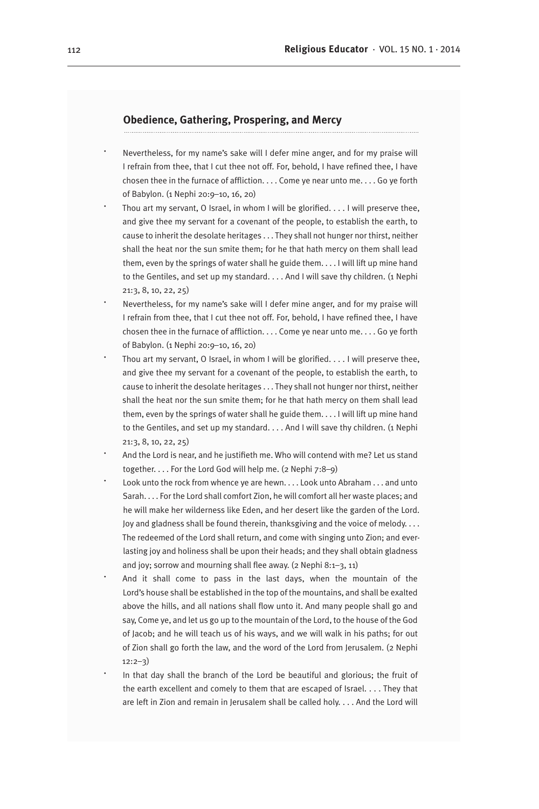#### **Obedience, Gathering, Prospering, and Mercy**

- Nevertheless, for my name's sake will I defer mine anger, and for my praise will I refrain from thee, that I cut thee not off. For, behold, I have refined thee, I have chosen thee in the furnace of affliction. . . . Come ye near unto me. . . . Go ye forth of Babylon. (1 Nephi 20:9–10, 16, 20)
- Thou art my servant, O Israel, in whom I will be glorified.  $\dots$  I will preserve thee, and give thee my servant for a covenant of the people, to establish the earth, to cause to inherit the desolate heritages . . . They shall not hunger nor thirst, neither shall the heat nor the sun smite them; for he that hath mercy on them shall lead them, even by the springs of water shall he guide them. . . . I will lift up mine hand to the Gentiles, and set up my standard. . . . And I will save thy children. (1 Nephi 21:3, 8, 10, 22, 25)
- Nevertheless, for my name's sake will I defer mine anger, and for my praise will I refrain from thee, that I cut thee not off. For, behold, I have refined thee, I have chosen thee in the furnace of affliction. . . . Come ye near unto me. . . . Go ye forth of Babylon. (1 Nephi 20:9–10, 16, 20)
- Thou art my servant, O Israel, in whom I will be glorified. . . . I will preserve thee, and give thee my servant for a covenant of the people, to establish the earth, to cause to inherit the desolate heritages . . . They shall not hunger nor thirst, neither shall the heat nor the sun smite them; for he that hath mercy on them shall lead them, even by the springs of water shall he guide them. . . . I will lift up mine hand to the Gentiles, and set up my standard. . . . And I will save thy children. (1 Nephi 21:3, 8, 10, 22, 25)
- And the Lord is near, and he justifieth me. Who will contend with me? Let us stand together. . . . For the Lord God will help me. (2 Nephi 7:8–9)
- Look unto the rock from whence ye are hewn. . . . Look unto Abraham . . . and unto Sarah. . . . For the Lord shall comfort Zion, he will comfort all her waste places; and he will make her wilderness like Eden, and her desert like the garden of the Lord. Joy and gladness shall be found therein, thanksgiving and the voice of melody. . . . The redeemed of the Lord shall return, and come with singing unto Zion; and everlasting joy and holiness shall be upon their heads; and they shall obtain gladness and joy; sorrow and mourning shall flee away. (2 Nephi 8:1–3, 11)
- And it shall come to pass in the last days, when the mountain of the Lord's house shall be established in the top of the mountains, and shall be exalted above the hills, and all nations shall flow unto it. And many people shall go and say, Come ye, and let us go up to the mountain of the Lord, to the house of the God of Jacob; and he will teach us of his ways, and we will walk in his paths; for out of Zion shall go forth the law, and the word of the Lord from Jerusalem. (2 Nephi  $12:2-3)$
- In that day shall the branch of the Lord be beautiful and glorious; the fruit of the earth excellent and comely to them that are escaped of Israel. . . . They that are left in Zion and remain in Jerusalem shall be called holy. . . . And the Lord will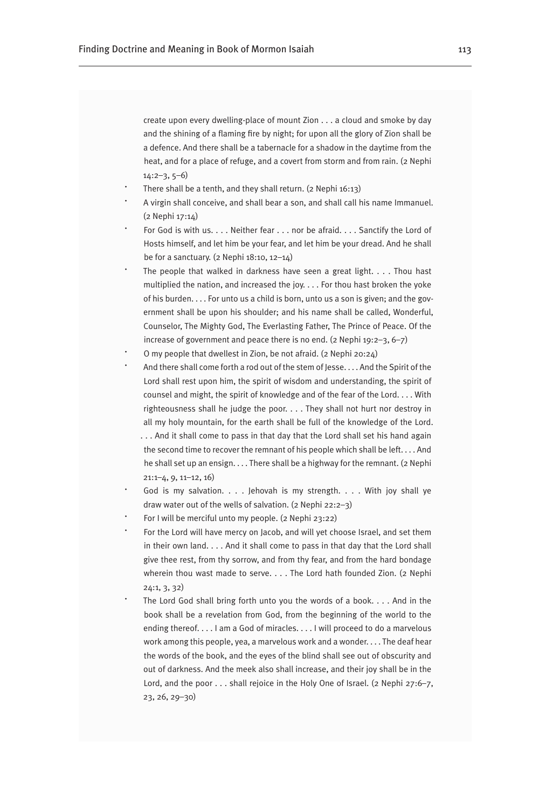create upon every dwelling-place of mount Zion . . . a cloud and smoke by day and the shining of a flaming fire by night; for upon all the glory of Zion shall be a defence. And there shall be a tabernacle for a shadow in the daytime from the heat, and for a place of refuge, and a covert from storm and from rain. (2 Nephi 14:2–3, 5–6)

- There shall be a tenth, and they shall return. (2 Nephi 16:13)
- A virgin shall conceive, and shall bear a son, and shall call his name Immanuel. (2 Nephi 17:14)
- For God is with us. . . . Neither fear . . . nor be afraid. . . . Sanctify the Lord of Hosts himself, and let him be your fear, and let him be your dread. And he shall be for a sanctuary. (2 Nephi 18:10, 12–14)
- The people that walked in darkness have seen a great light.  $\dots$  Thou hast multiplied the nation, and increased the joy. . . . For thou hast broken the yoke of his burden. . . . For unto us a child is born, unto us a son is given; and the government shall be upon his shoulder; and his name shall be called, Wonderful, Counselor, The Mighty God, The Everlasting Father, The Prince of Peace. Of the increase of government and peace there is no end. (2 Nephi 19:2–3, 6–7)
- O my people that dwellest in Zion, be not afraid. (2 Nephi 20:24)
- And there shall come forth a rod out of the stem of Jesse. . . . And the Spirit of the Lord shall rest upon him, the spirit of wisdom and understanding, the spirit of counsel and might, the spirit of knowledge and of the fear of the Lord. . . . With righteousness shall he judge the poor. . . . They shall not hurt nor destroy in all my holy mountain, for the earth shall be full of the knowledge of the Lord. . . . And it shall come to pass in that day that the Lord shall set his hand again the second time to recover the remnant of his people which shall be left. . . . And he shall set up an ensign. . . . There shall be a highway for the remnant. (2 Nephi
	- 21:1–4, 9, 11–12, 16)
- God is my salvation. . . . Jehovah is my strength. . . . With joy shall ye draw water out of the wells of salvation. (2 Nephi 22:2–3)
- For I will be merciful unto my people. (2 Nephi 23:22)
- For the Lord will have mercy on Jacob, and will yet choose Israel, and set them in their own land. . . . And it shall come to pass in that day that the Lord shall give thee rest, from thy sorrow, and from thy fear, and from the hard bondage wherein thou wast made to serve. . . . The Lord hath founded Zion. (2 Nephi 24:1, 3, 32)
- The Lord God shall bring forth unto you the words of a book.  $\dots$  And in the book shall be a revelation from God, from the beginning of the world to the ending thereof. . . . I am a God of miracles. . . . I will proceed to do a marvelous work among this people, yea, a marvelous work and a wonder. . . . The deaf hear the words of the book, and the eyes of the blind shall see out of obscurity and out of darkness. And the meek also shall increase, and their joy shall be in the Lord, and the poor . . . shall rejoice in the Holy One of Israel. (2 Nephi 27:6-7, 23, 26, 29–30)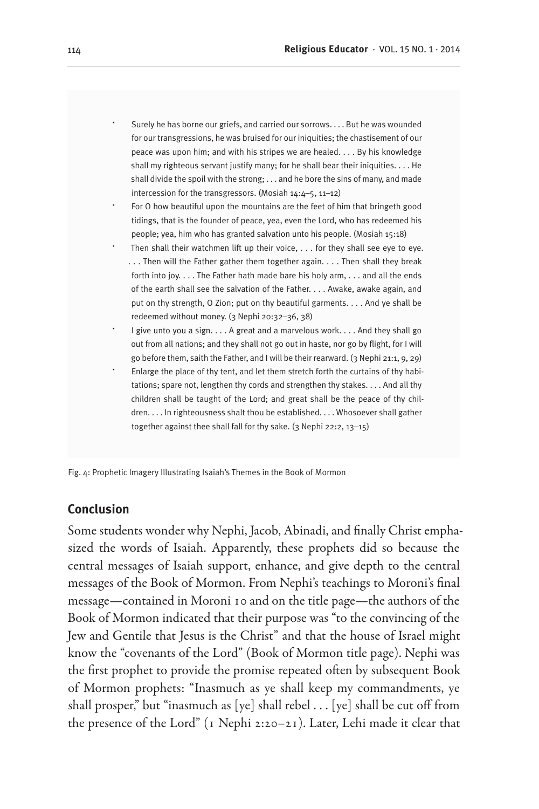- Surely he has borne our griefs, and carried our sorrows. . . . But he was wounded for our transgressions, he was bruised for our iniquities; the chastisement of our peace was upon him; and with his stripes we are healed. . . . By his knowledge shall my righteous servant justify many; for he shall bear their iniquities. . . . He shall divide the spoil with the strong; . . . and he bore the sins of many, and made intercession for the transgressors. (Mosiah 14:4–5, 11–12)
- For O how beautiful upon the mountains are the feet of him that bringeth good tidings, that is the founder of peace, yea, even the Lord, who has redeemed his people; yea, him who has granted salvation unto his people. (Mosiah 15:18)
- Then shall their watchmen lift up their voice,  $\dots$  for they shall see eye to eye. . . . Then will the Father gather them together again. . . . Then shall they break forth into joy. . . . The Father hath made bare his holy arm, . . . and all the ends of the earth shall see the salvation of the Father. . . . Awake, awake again, and put on thy strength, O Zion; put on thy beautiful garments. . . . And ye shall be redeemed without money. (3 Nephi 20:32–36, 38)
- I give unto you a sign. . . . A great and a marvelous work. . . . And they shall go out from all nations; and they shall not go out in haste, nor go by flight, for I will go before them, saith the Father, and I will be their rearward. (3 Nephi 21:1, 9, 29)
- Enlarge the place of thy tent, and let them stretch forth the curtains of thy habitations; spare not, lengthen thy cords and strengthen thy stakes. . . . And all thy children shall be taught of the Lord; and great shall be the peace of thy children. . . . In righteousness shalt thou be established. . . . Whosoever shall gather together against thee shall fall for thy sake. (3 Nephi 22:2, 13-15)

Fig. 4: Prophetic Imagery Illustrating Isaiah's Themes in the Book of Mormon

#### **Conclusion**

Some students wonder why Nephi, Jacob, Abinadi, and finally Christ emphasized the words of Isaiah. Apparently, these prophets did so because the central messages of Isaiah support, enhance, and give depth to the central messages of the Book of Mormon. From Nephi's teachings to Moroni's final message—contained in Moroni 10 and on the title page—the authors of the Book of Mormon indicated that their purpose was "to the convincing of the Jew and Gentile that Jesus is the Christ" and that the house of Israel might know the "covenants of the Lord" (Book of Mormon title page). Nephi was the first prophet to provide the promise repeated often by subsequent Book of Mormon prophets: "Inasmuch as ye shall keep my commandments, ye shall prosper," but "inasmuch as [ye] shall rebel  $\ldots$  [ye] shall be cut off from the presence of the Lord" (1 Nephi 2:20–21). Later, Lehi made it clear that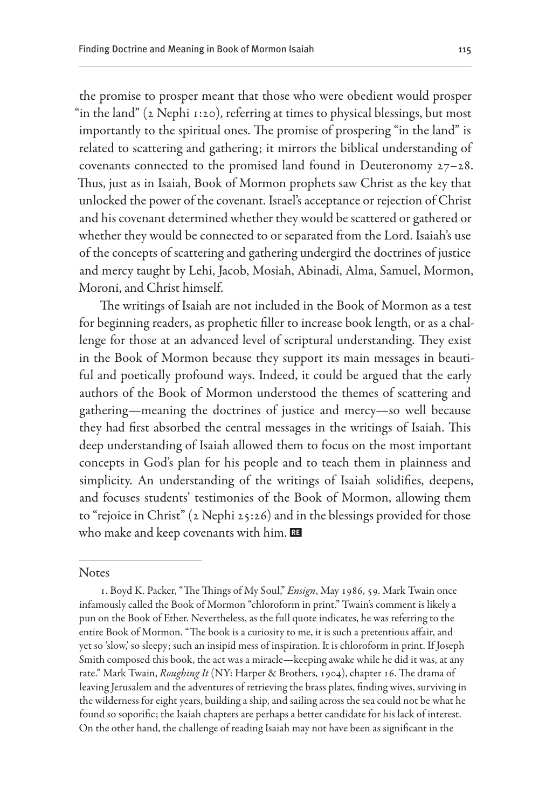the promise to prosper meant that those who were obedient would prosper "in the land" (2 Nephi 1:20), referring at times to physical blessings, but most importantly to the spiritual ones. The promise of prospering "in the land" is related to scattering and gathering; it mirrors the biblical understanding of covenants connected to the promised land found in Deuteronomy 27–28. Thus, just as in Isaiah, Book of Mormon prophets saw Christ as the key that unlocked the power of the covenant. Israel's acceptance or rejection of Christ and his covenant determined whether they would be scattered or gathered or whether they would be connected to or separated from the Lord. Isaiah's use of the concepts of scattering and gathering undergird the doctrines of justice and mercy taught by Lehi, Jacob, Mosiah, Abinadi, Alma, Samuel, Mormon, Moroni, and Christ himself.

The writings of Isaiah are not included in the Book of Mormon as a test for beginning readers, as prophetic filler to increase book length, or as a challenge for those at an advanced level of scriptural understanding. They exist in the Book of Mormon because they support its main messages in beautiful and poetically profound ways. Indeed, it could be argued that the early authors of the Book of Mormon understood the themes of scattering and gathering—meaning the doctrines of justice and mercy—so well because they had first absorbed the central messages in the writings of Isaiah. This deep understanding of Isaiah allowed them to focus on the most important concepts in God's plan for his people and to teach them in plainness and simplicity. An understanding of the writings of Isaiah solidifies, deepens, and focuses students' testimonies of the Book of Mormon, allowing them to "rejoice in Christ" (2 Nephi 25:26) and in the blessings provided for those who make and keep covenants with him.

#### **Notes**

<sup>1.</sup> Boyd K. Packer, "The Things of My Soul," *Ensign*, May 1986, 59. Mark Twain once infamously called the Book of Mormon "chloroform in print." Twain's comment is likely a pun on the Book of Ether. Nevertheless, as the full quote indicates, he was referring to the entire Book of Mormon. "The book is a curiosity to me, it is such a pretentious affair, and yet so 'slow,' so sleepy; such an insipid mess of inspiration. It is chloroform in print. If Joseph Smith composed this book, the act was a miracle—keeping awake while he did it was, at any rate." Mark Twain, *Roughing It* (NY: Harper & Brothers, 1904), chapter 16. The drama of leaving Jerusalem and the adventures of retrieving the brass plates, finding wives, surviving in the wilderness for eight years, building a ship, and sailing across the sea could not be what he found so soporific; the Isaiah chapters are perhaps a better candidate for his lack of interest. On the other hand, the challenge of reading Isaiah may not have been as significant in the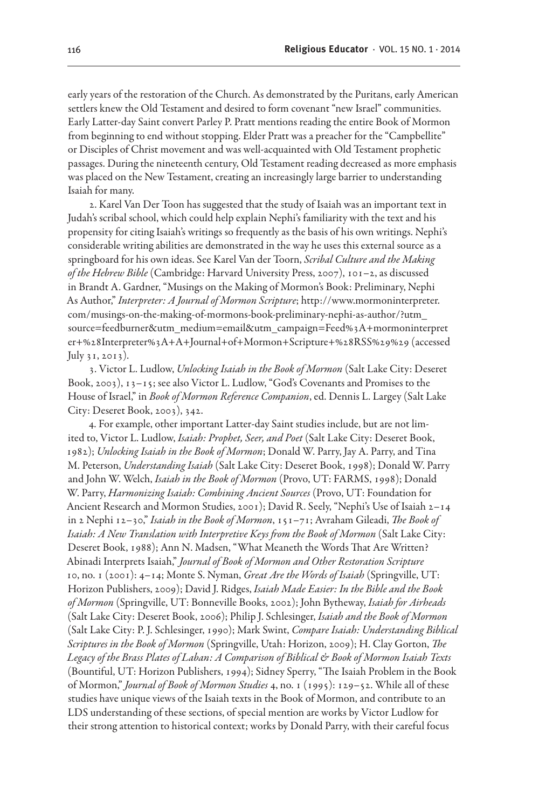early years of the restoration of the Church. As demonstrated by the Puritans, early American settlers knew the Old Testament and desired to form covenant "new Israel" communities. Early Latter-day Saint convert Parley P. Pratt mentions reading the entire Book of Mormon from beginning to end without stopping. Elder Pratt was a preacher for the "Campbellite" or Disciples of Christ movement and was well-acquainted with Old Testament prophetic passages. During the nineteenth century, Old Testament reading decreased as more emphasis was placed on the New Testament, creating an increasingly large barrier to understanding Isaiah for many.

2. Karel Van Der Toon has suggested that the study of Isaiah was an important text in Judah's scribal school, which could help explain Nephi's familiarity with the text and his propensity for citing Isaiah's writings so frequently as the basis of his own writings. Nephi's considerable writing abilities are demonstrated in the way he uses this external source as a springboard for his own ideas. See Karel Van der Toorn, *Scribal Culture and the Making of the Hebrew Bible* (Cambridge: Harvard University Press, 2007), 101–2, as discussed in Brandt A. Gardner, "Musings on the Making of Mormon's Book: Preliminary, Nephi As Author," *Interpreter: A Journal of Mormon Scripture*; http://www.mormoninterpreter. com/musings-on-the-making-of-mormons-book-preliminary-nephi-as-author/?utm\_ source=feedburner&utm\_medium=email&utm\_campaign=Feed%3A+mormoninterpret er+%28Interpreter%3A+A+Journal+of+Mormon+Scripture+%28RSS%29%29 (accessed July 31, 2013).

3. Victor L. Ludlow, *Unlocking Isaiah in the Book of Mormon* (Salt Lake City: Deseret Book, 2003), 13–15; see also Victor L. Ludlow, "God's Covenants and Promises to the House of Israel," in *Book of Mormon Reference Companion*, ed. Dennis L. Largey (Salt Lake City: Deseret Book, 2003), 342.

4. For example, other important Latter-day Saint studies include, but are not limited to, Victor L. Ludlow, *Isaiah: Prophet, Seer, and Poet* (Salt Lake City: Deseret Book, 1982); *Unlocking Isaiah in the Book of Mormon*; Donald W. Parry, Jay A. Parry, and Tina M. Peterson, *Understanding Isaiah* (Salt Lake City: Deseret Book, 1998); Donald W. Parry and John W. Welch, *Isaiah in the Book of Mormon* (Provo, UT: FARMS, 1998); Donald W. Parry, *Harmonizing Isaiah: Combining Ancient Sources* (Provo, UT: Foundation for Ancient Research and Mormon Studies, 2001); David R. Seely, "Nephi's Use of Isaiah 2–14 in 2 Nephi 12–30," *Isaiah in the Book of Mormon*, 151–71; Avraham Gileadi, *The Book of Isaiah: A New Translation with Interpretive Keys from the Book of Mormon* (Salt Lake City: Deseret Book, 1988); Ann N. Madsen, "What Meaneth the Words That Are Written? Abinadi Interprets Isaiah," *Journal of Book of Mormon and Other Restoration Scripture* 10, no. 1 (2001): 4–14; Monte S. Nyman, *Great Are the Words of Isaiah* (Springville, UT: Horizon Publishers, 2009); David J. Ridges, *Isaiah Made Easier: In the Bible and the Book of Mormon* (Springville, UT: Bonneville Books, 2002); John Bytheway, *Isaiah for Airheads* (Salt Lake City: Deseret Book, 2006); Philip J. Schlesinger, *Isaiah and the Book of Mormon* (Salt Lake City: P. J. Schlesinger, 1990); Mark Swint, *Compare Isaiah: Understanding Biblical Scriptures in the Book of Mormon* (Springville, Utah: Horizon, 2009); H. Clay Gorton, *The Legacy of the Brass Plates of Laban: A Comparison of Biblical & Book of Mormon Isaiah Texts*  (Bountiful, UT: Horizon Publishers, 1994); Sidney Sperry, "The Isaiah Problem in the Book of Mormon," *Journal of Book of Mormon Studies* 4, no. 1 (1995): 129–52. While all of these studies have unique views of the Isaiah texts in the Book of Mormon, and contribute to an LDS understanding of these sections, of special mention are works by Victor Ludlow for their strong attention to historical context; works by Donald Parry, with their careful focus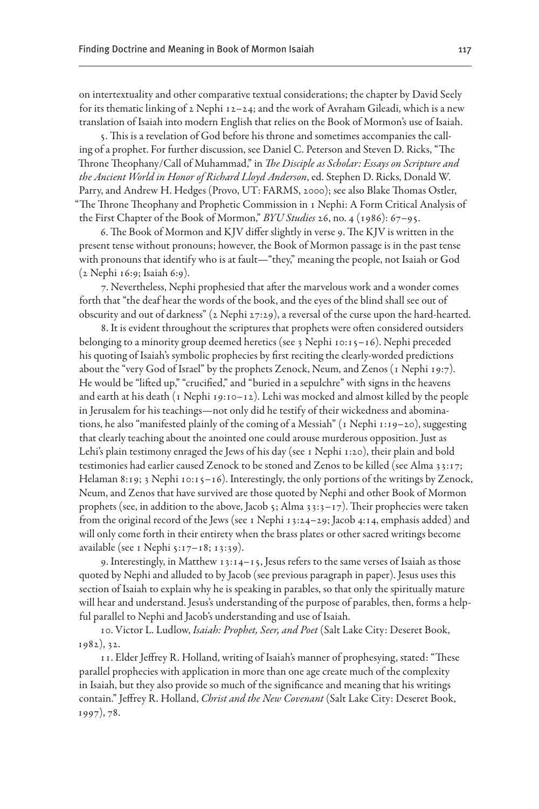on intertextuality and other comparative textual considerations; the chapter by David Seely for its thematic linking of 2 Nephi 12–24; and the work of Avraham Gileadi, which is a new translation of Isaiah into modern English that relies on the Book of Mormon's use of Isaiah.

5. This is a revelation of God before his throne and sometimes accompanies the calling of a prophet. For further discussion, see Daniel C. Peterson and Steven D. Ricks, "The Throne Theophany/Call of Muhammad," in *The Disciple as Scholar: Essays on Scripture and the Ancient World in Honor of Richard Lloyd Anderson*, ed. Stephen D. Ricks, Donald W. Parry, and Andrew H. Hedges (Provo, UT: FARMS, 2000); see also Blake Thomas Ostler, "The Throne Theophany and Prophetic Commission in 1 Nephi: A Form Critical Analysis of the First Chapter of the Book of Mormon," *BYU Studies* 26, no. 4 (1986): 67–95.

6. The Book of Mormon and KJV differ slightly in verse 9. The KJV is written in the present tense without pronouns; however, the Book of Mormon passage is in the past tense with pronouns that identify who is at fault—"they," meaning the people, not Isaiah or God (2 Nephi 16:9; Isaiah 6:9).

7. Nevertheless, Nephi prophesied that after the marvelous work and a wonder comes forth that "the deaf hear the words of the book, and the eyes of the blind shall see out of obscurity and out of darkness" (2 Nephi 27:29), a reversal of the curse upon the hard-hearted.

8. It is evident throughout the scriptures that prophets were often considered outsiders belonging to a minority group deemed heretics (see  $\frac{1}{2}$  Nephi 10:15–16). Nephi preceded his quoting of Isaiah's symbolic prophecies by first reciting the clearly-worded predictions about the "very God of Israel" by the prophets Zenock, Neum, and Zenos (1 Nephi 19:7). He would be "lifted up," "crucified," and "buried in a sepulchre" with signs in the heavens and earth at his death ( $\iota$  Nephi  $\iota$ 9:10–12). Lehi was mocked and almost killed by the people in Jerusalem for his teachings—not only did he testify of their wickedness and abominations, he also "manifested plainly of the coming of a Messiah" (1 Nephi 1:19–20), suggesting that clearly teaching about the anointed one could arouse murderous opposition. Just as Lehi's plain testimony enraged the Jews of his day (see 1 Nephi 1:20), their plain and bold testimonies had earlier caused Zenock to be stoned and Zenos to be killed (see Alma 33:17; Helaman 8:19; 3 Nephi 10:15–16). Interestingly, the only portions of the writings by Zenock, Neum, and Zenos that have survived are those quoted by Nephi and other Book of Mormon prophets (see, in addition to the above, Jacob 5; Alma 33:3–17). Their prophecies were taken from the original record of the Jews (see 1 Nephi 13:24–29; Jacob 4:14, emphasis added) and will only come forth in their entirety when the brass plates or other sacred writings become available (see 1 Nephi 5:17–18; 13:39).

9. Interestingly, in Matthew 13:14–15, Jesus refers to the same verses of Isaiah as those quoted by Nephi and alluded to by Jacob (see previous paragraph in paper). Jesus uses this section of Isaiah to explain why he is speaking in parables, so that only the spiritually mature will hear and understand. Jesus's understanding of the purpose of parables, then, forms a helpful parallel to Nephi and Jacob's understanding and use of Isaiah.

10. Victor L. Ludlow, *Isaiah: Prophet, Seer, and Poet* (Salt Lake City: Deseret Book, 1982), 32.

11. Elder Jeffrey R. Holland, writing of Isaiah's manner of prophesying, stated: "These parallel prophecies with application in more than one age create much of the complexity in Isaiah, but they also provide so much of the significance and meaning that his writings contain." Jeffrey R. Holland, *Christ and the New Covenant* (Salt Lake City: Deseret Book, 1997), 78.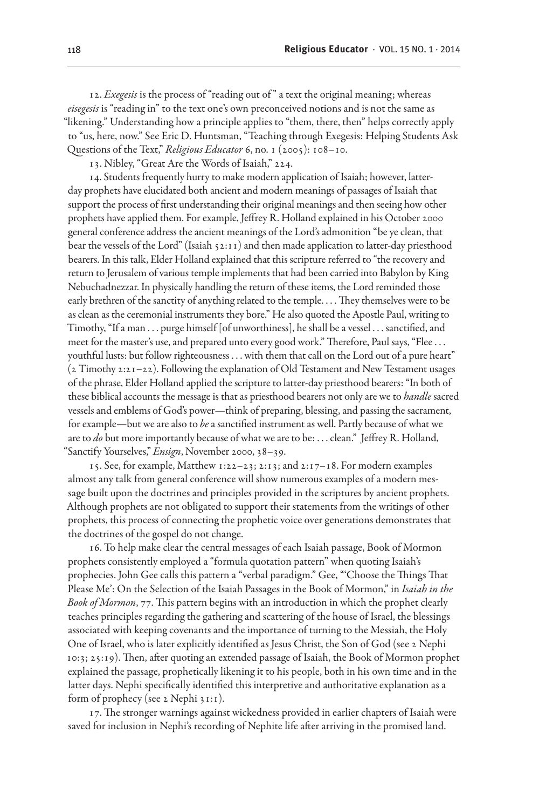12. *Exegesis* is the process of "reading out of " a text the original meaning; whereas *eisegesis* is "reading in" to the text one's own preconceived notions and is not the same as "likening." Understanding how a principle applies to "them, there, then" helps correctly apply to "us, here, now." See Eric D. Huntsman, "Teaching through Exegesis: Helping Students Ask Questions of the Text," *Religious Educator* 6, no. 1 (2005): 108–10.

13. Nibley, "Great Are the Words of Isaiah," 224.

14. Students frequently hurry to make modern application of Isaiah; however, latterday prophets have elucidated both ancient and modern meanings of passages of Isaiah that support the process of first understanding their original meanings and then seeing how other prophets have applied them. For example, Jeffrey R. Holland explained in his October 2000 general conference address the ancient meanings of the Lord's admonition "be ye clean, that bear the vessels of the Lord" (Isaiah 52:11) and then made application to latter-day priesthood bearers. In this talk, Elder Holland explained that this scripture referred to "the recovery and return to Jerusalem of various temple implements that had been carried into Babylon by King Nebuchadnezzar. In physically handling the return of these items, the Lord reminded those early brethren of the sanctity of anything related to the temple. . . . They themselves were to be as clean as the ceremonial instruments they bore." He also quoted the Apostle Paul, writing to Timothy, "If a man . . . purge himself [of unworthiness], he shall be a vessel . . . sanctified, and meet for the master's use, and prepared unto every good work." Therefore, Paul says, "Flee . . . youthful lusts: but follow righteousness . . . with them that call on the Lord out of a pure heart" (2 Timothy 2:21–22). Following the explanation of Old Testament and New Testament usages of the phrase, Elder Holland applied the scripture to latter-day priesthood bearers: "In both of these biblical accounts the message is that as priesthood bearers not only are we to *handle* sacred vessels and emblems of God's power—think of preparing, blessing, and passing the sacrament, for example—but we are also to *be* a sanctified instrument as well. Partly because of what we are to *do* but more importantly because of what we are to be: . . . clean." Jeffrey R. Holland, "Sanctify Yourselves," *Ensign*, November 2000, 38–39.

15. See, for example, Matthew 1:22–23; 2:13; and 2:17–18. For modern examples almost any talk from general conference will show numerous examples of a modern message built upon the doctrines and principles provided in the scriptures by ancient prophets. Although prophets are not obligated to support their statements from the writings of other prophets, this process of connecting the prophetic voice over generations demonstrates that the doctrines of the gospel do not change.

16. To help make clear the central messages of each Isaiah passage, Book of Mormon prophets consistently employed a "formula quotation pattern" when quoting Isaiah's prophecies. John Gee calls this pattern a "verbal paradigm." Gee, "'Choose the Things That Please Me': On the Selection of the Isaiah Passages in the Book of Mormon," in *Isaiah in the Book of Mormon*, 77. This pattern begins with an introduction in which the prophet clearly teaches principles regarding the gathering and scattering of the house of Israel, the blessings associated with keeping covenants and the importance of turning to the Messiah, the Holy One of Israel, who is later explicitly identified as Jesus Christ, the Son of God (see 2 Nephi 10:3; 25:19). Then, after quoting an extended passage of Isaiah, the Book of Mormon prophet explained the passage, prophetically likening it to his people, both in his own time and in the latter days. Nephi specifically identified this interpretive and authoritative explanation as a form of prophecy (see 2 Nephi 31:1).

17. The stronger warnings against wickedness provided in earlier chapters of Isaiah were saved for inclusion in Nephi's recording of Nephite life after arriving in the promised land.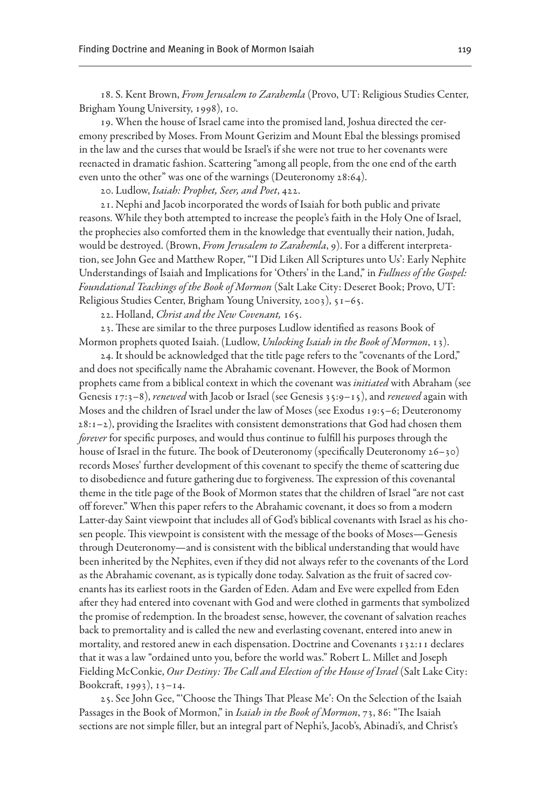18. S. Kent Brown, *From Jerusalem to Zarahemla* (Provo, UT: Religious Studies Center, Brigham Young University, 1998), 10.

19. When the house of Israel came into the promised land, Joshua directed the ceremony prescribed by Moses. From Mount Gerizim and Mount Ebal the blessings promised in the law and the curses that would be Israel's if she were not true to her covenants were reenacted in dramatic fashion. Scattering "among all people, from the one end of the earth even unto the other" was one of the warnings (Deuteronomy 28:64).

20. Ludlow, *Isaiah: Prophet, Seer, and Poet*, 422.

21. Nephi and Jacob incorporated the words of Isaiah for both public and private reasons. While they both attempted to increase the people's faith in the Holy One of Israel, the prophecies also comforted them in the knowledge that eventually their nation, Judah, would be destroyed. (Brown, *From Jerusalem to Zarahemla*, 9). For a different interpretation, see John Gee and Matthew Roper, "'I Did Liken All Scriptures unto Us': Early Nephite Understandings of Isaiah and Implications for 'Others' in the Land," in *Fullness of the Gospel: Foundational Teachings of the Book of Mormon* (Salt Lake City: Deseret Book; Provo, UT: Religious Studies Center, Brigham Young University, 2003), 51–65.

22. Holland, *Christ and the New Covenant,* 165.

23. These are similar to the three purposes Ludlow identified as reasons Book of Mormon prophets quoted Isaiah. (Ludlow, *Unlocking Isaiah in the Book of Mormon*, 13).

24. It should be acknowledged that the title page refers to the "covenants of the Lord," and does not specifically name the Abrahamic covenant. However, the Book of Mormon prophets came from a biblical context in which the covenant was *initiated* with Abraham (see Genesis 17:3–8), *renewed* with Jacob or Israel (see Genesis 35:9–15), and *renewed* again with Moses and the children of Israel under the law of Moses (see Exodus 19:5–6; Deuteronomy  $28:1-z$ ), providing the Israelites with consistent demonstrations that God had chosen them *forever* for specific purposes, and would thus continue to fulfill his purposes through the house of Israel in the future. The book of Deuteronomy (specifically Deuteronomy 26–30) records Moses' further development of this covenant to specify the theme of scattering due to disobedience and future gathering due to forgiveness. The expression of this covenantal theme in the title page of the Book of Mormon states that the children of Israel "are not cast off forever." When this paper refers to the Abrahamic covenant, it does so from a modern Latter-day Saint viewpoint that includes all of God's biblical covenants with Israel as his chosen people. This viewpoint is consistent with the message of the books of Moses—Genesis through Deuteronomy—and is consistent with the biblical understanding that would have been inherited by the Nephites, even if they did not always refer to the covenants of the Lord as the Abrahamic covenant, as is typically done today. Salvation as the fruit of sacred covenants has its earliest roots in the Garden of Eden. Adam and Eve were expelled from Eden after they had entered into covenant with God and were clothed in garments that symbolized the promise of redemption. In the broadest sense, however, the covenant of salvation reaches back to premortality and is called the new and everlasting covenant, entered into anew in mortality, and restored anew in each dispensation. Doctrine and Covenants 132:11 declares that it was a law "ordained unto you, before the world was." Robert L. Millet and Joseph Fielding McConkie, *Our Destiny: The Call and Election of the House of Israel* (Salt Lake City: Bookcraft, 1993), 13–14.

25. See John Gee, "'Choose the Things That Please Me': On the Selection of the Isaiah Passages in the Book of Mormon," in *Isaiah in the Book of Mormon*, 73, 86: "The Isaiah sections are not simple filler, but an integral part of Nephi's, Jacob's, Abinadi's, and Christ's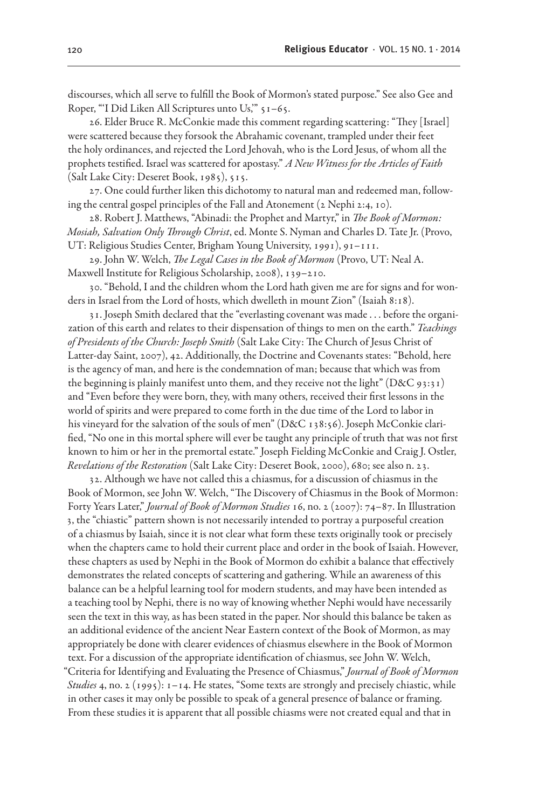discourses, which all serve to fulfill the Book of Mormon's stated purpose." See also Gee and Roper, "'I Did Liken All Scriptures unto Us,'" 51–65.

26. Elder Bruce R. McConkie made this comment regarding scattering: "They [Israel] were scattered because they forsook the Abrahamic covenant, trampled under their feet the holy ordinances, and rejected the Lord Jehovah, who is the Lord Jesus, of whom all the prophets testified. Israel was scattered for apostasy." *A New Witness for the Articles of Faith* (Salt Lake City: Deseret Book, 1985), 515.

27. One could further liken this dichotomy to natural man and redeemed man, following the central gospel principles of the Fall and Atonement (2 Nephi 2:4, 10).

28. Robert J. Matthews, "Abinadi: the Prophet and Martyr," in *The Book of Mormon: Mosiah, Salvation Only Through Christ*, ed. Monte S. Nyman and Charles D. Tate Jr. (Provo, UT: Religious Studies Center, Brigham Young University, 1991), 91–111.

29. John W. Welch, *The Legal Cases in the Book of Mormon* (Provo, UT: Neal A. Maxwell Institute for Religious Scholarship, 2008), 139–210.

30. "Behold, I and the children whom the Lord hath given me are for signs and for wonders in Israel from the Lord of hosts, which dwelleth in mount Zion" (Isaiah 8:18).

31. Joseph Smith declared that the "everlasting covenant was made . . . before the organization of this earth and relates to their dispensation of things to men on the earth." *Teachings of Presidents of the Church: Joseph Smith* (Salt Lake City: The Church of Jesus Christ of Latter-day Saint, 2007), 42. Additionally, the Doctrine and Covenants states: "Behold, here is the agency of man, and here is the condemnation of man; because that which was from the beginning is plainly manifest unto them, and they receive not the light"  $(D&C$  93:31) and "Even before they were born, they, with many others, received their first lessons in the world of spirits and were prepared to come forth in the due time of the Lord to labor in his vineyard for the salvation of the souls of men" (D&C 138:56). Joseph McConkie clarified, "No one in this mortal sphere will ever be taught any principle of truth that was not first known to him or her in the premortal estate." Joseph Fielding McConkie and Craig J. Ostler, *Revelations of the Restoration* (Salt Lake City: Deseret Book, 2000), 680; see also n. 23.

32. Although we have not called this a chiasmus, for a discussion of chiasmus in the Book of Mormon, see John W. Welch, "The Discovery of Chiasmus in the Book of Mormon: Forty Years Later," *Journal of Book of Mormon Studies* 16, no. 2 (2007): 74–87. In Illustration 3, the "chiastic" pattern shown is not necessarily intended to portray a purposeful creation of a chiasmus by Isaiah, since it is not clear what form these texts originally took or precisely when the chapters came to hold their current place and order in the book of Isaiah. However, these chapters as used by Nephi in the Book of Mormon do exhibit a balance that effectively demonstrates the related concepts of scattering and gathering. While an awareness of this balance can be a helpful learning tool for modern students, and may have been intended as a teaching tool by Nephi, there is no way of knowing whether Nephi would have necessarily seen the text in this way, as has been stated in the paper. Nor should this balance be taken as an additional evidence of the ancient Near Eastern context of the Book of Mormon, as may appropriately be done with clearer evidences of chiasmus elsewhere in the Book of Mormon text. For a discussion of the appropriate identification of chiasmus, see John W. Welch, "Criteria for Identifying and Evaluating the Presence of Chiasmus," *Journal of Book of Mormon Studies* 4, no. 2 (1995): 1–14. He states, "Some texts are strongly and precisely chiastic, while in other cases it may only be possible to speak of a general presence of balance or framing.

From these studies it is apparent that all possible chiasms were not created equal and that in